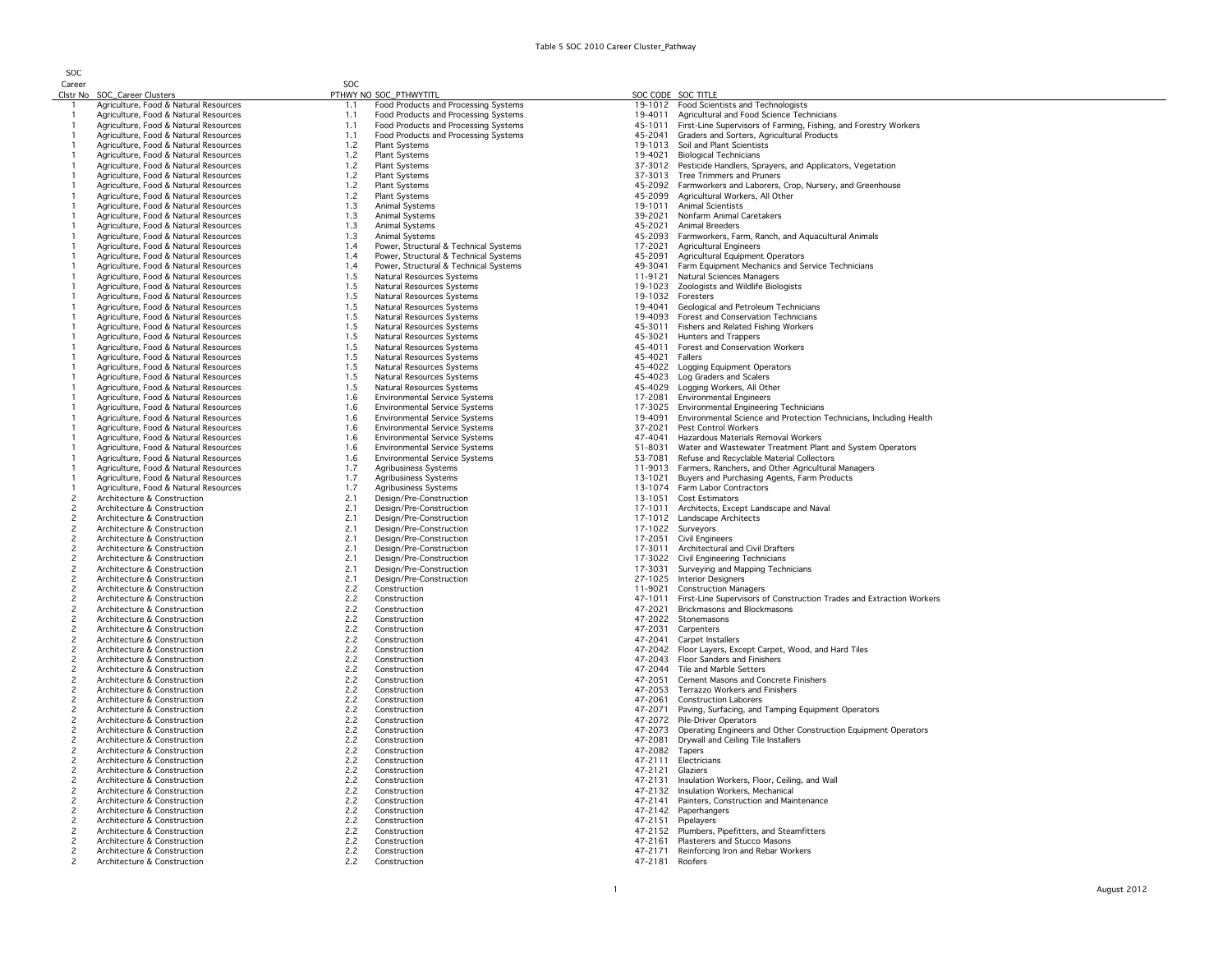SOC Career

| Career                           |                                                                                | SOC        |                                                                              |                           |                                                                                                                     |
|----------------------------------|--------------------------------------------------------------------------------|------------|------------------------------------------------------------------------------|---------------------------|---------------------------------------------------------------------------------------------------------------------|
|                                  | Clstr No SOC_Career Clusters                                                   |            | PTHWY NO SOC_PTHWYTITL                                                       |                           | SOC CODE SOC TITLE                                                                                                  |
|                                  | Agriculture, Food & Natural Resources                                          | 1.1        | Food Products and Processing Systems                                         |                           | 19-1012 Food Scientists and Technologists                                                                           |
|                                  | Agriculture, Food & Natural Resources                                          | 1.1        | Food Products and Processing Systems                                         |                           | 19-4011 Agricultural and Food Science Technicians                                                                   |
|                                  | Agriculture, Food & Natural Resources                                          | 1.1        | Food Products and Processing Systems                                         | 45-1011                   | First-Line Supervisors of Farming, Fishing, and Forestry Workers                                                    |
|                                  | Agriculture, Food & Natural Resources<br>Agriculture, Food & Natural Resources | 1.1<br>1.2 | Food Products and Processing Systems<br>Plant Systems                        | 45-2041<br>19-1013        | Graders and Sorters, Agricultural Products<br>Soil and Plant Scientists                                             |
|                                  | Agriculture, Food & Natural Resources                                          | 1.2        | Plant Systems                                                                | 19-4021                   | <b>Biological Technicians</b>                                                                                       |
|                                  | Agriculture, Food & Natural Resources                                          | 1.2        | Plant Systems                                                                |                           | 37-3012 Pesticide Handlers, Sprayers, and Applicators, Vegetation                                                   |
|                                  | Agriculture, Food & Natural Resources                                          | 1.2        | Plant Systems                                                                | 37-3013                   | Tree Trimmers and Pruners                                                                                           |
|                                  | Agriculture, Food & Natural Resources                                          | 1.2        | Plant Systems                                                                |                           | 45-2092 Farmworkers and Laborers, Crop, Nursery, and Greenhouse                                                     |
|                                  | Agriculture, Food & Natural Resources                                          | 1.2        | Plant Systems                                                                | 45-2099                   | Agricultural Workers, All Other                                                                                     |
|                                  | Agriculture, Food & Natural Resources                                          | 1.3        | Animal Systems                                                               |                           | 19-1011 Animal Scientists                                                                                           |
|                                  | Agriculture, Food & Natural Resources                                          | 1.3        | Animal Systems                                                               |                           | 39-2021 Nonfarm Animal Caretakers                                                                                   |
|                                  | Agriculture, Food & Natural Resources<br>Agriculture, Food & Natural Resources | 1.3<br>1.3 | Animal Systems<br>Animal Systems                                             |                           | 45-2021 Animal Breeders<br>45-2093 Farmworkers, Farm, Ranch, and Aquacultural Animals                               |
|                                  | Agriculture, Food & Natural Resources                                          | 1.4        | Power, Structural & Technical Systems                                        | 17-2021                   | <b>Agricultural Engineers</b>                                                                                       |
|                                  | Agriculture, Food & Natural Resources                                          | 1.4        | Power, Structural & Technical Systems                                        | 45-2091                   | Agricultural Equipment Operators                                                                                    |
|                                  | Agriculture, Food & Natural Resources                                          | 1.4        | Power, Structural & Technical Systems                                        | 49-3041                   | Farm Equipment Mechanics and Service Technicians                                                                    |
|                                  | Agriculture, Food & Natural Resources                                          | 1.5        | Natural Resources Systems                                                    | 11-9121                   | Natural Sciences Managers                                                                                           |
|                                  | Agriculture, Food & Natural Resources                                          | 1.5        | Natural Resources Systems                                                    | 19-1023                   | Zoologists and Wildlife Biologists                                                                                  |
|                                  | Agriculture, Food & Natural Resources                                          | 1.5        | Natural Resources Systems                                                    | 19-1032                   | Foresters                                                                                                           |
|                                  | Agriculture, Food & Natural Resources                                          | 1.5<br>1.5 | Natural Resources Systems                                                    | 19-4041<br>19-4093        | Geological and Petroleum Technicians                                                                                |
|                                  | Agriculture, Food & Natural Resources<br>Agriculture, Food & Natural Resources | 1.5        | Natural Resources Systems<br>Natural Resources Systems                       | 45-3011                   | Forest and Conservation Technicians<br>Fishers and Related Fishing Workers                                          |
|                                  | Agriculture, Food & Natural Resources                                          | 1.5        | Natural Resources Systems                                                    | 45-3021                   | Hunters and Trappers                                                                                                |
|                                  | Agriculture, Food & Natural Resources                                          | 1.5        | Natural Resources Systems                                                    | 45-4011                   | Forest and Conservation Workers                                                                                     |
|                                  | Agriculture, Food & Natural Resources                                          | 1.5        | Natural Resources Systems                                                    | 45-4021                   | Fallers                                                                                                             |
|                                  | Agriculture, Food & Natural Resources                                          | 1.5        | Natural Resources Systems                                                    |                           | 45-4022 Logging Equipment Operators                                                                                 |
|                                  | Agriculture, Food & Natural Resources                                          | 1.5        | Natural Resources Systems                                                    | 45-4023                   | Log Graders and Scalers                                                                                             |
|                                  | Agriculture, Food & Natural Resources                                          | 1.5        | Natural Resources Systems                                                    | 45-4029                   | Logging Workers, All Other                                                                                          |
|                                  | Agriculture, Food & Natural Resources                                          | 1.6        | <b>Environmental Service Systems</b>                                         | 17-2081                   | <b>Environmental Engineers</b>                                                                                      |
|                                  | Agriculture, Food & Natural Resources<br>Agriculture, Food & Natural Resources | 1.6<br>1.6 | <b>Environmental Service Systems</b><br><b>Environmental Service Systems</b> | 19-4091                   | 17-3025 Environmental Engineering Technicians<br>Environmental Science and Protection Technicians, Including Health |
|                                  | Agriculture, Food & Natural Resources                                          | 1.6        | <b>Environmental Service Systems</b>                                         | 37-2021                   | Pest Control Workers                                                                                                |
|                                  | Agriculture, Food & Natural Resources                                          | 1.6        | <b>Environmental Service Systems</b>                                         | 47-4041                   | Hazardous Materials Removal Workers                                                                                 |
|                                  | Agriculture, Food & Natural Resources                                          | 1.6        | <b>Environmental Service Systems</b>                                         | 51-8031                   | Water and Wastewater Treatment Plant and System Operators                                                           |
|                                  | Agriculture, Food & Natural Resources                                          | 1.6        | <b>Environmental Service Systems</b>                                         | 53-7081                   | Refuse and Recyclable Material Collectors                                                                           |
|                                  | Agriculture, Food & Natural Resources                                          | 1.7        | Agribusiness Systems                                                         | 11-9013                   | Farmers, Ranchers, and Other Agricultural Managers                                                                  |
|                                  | Agriculture, Food & Natural Resources                                          | 1.7        | Agribusiness Systems                                                         |                           | 13-1021 Buyers and Purchasing Agents, Farm Products                                                                 |
| $\overline{c}$                   | Agriculture, Food & Natural Resources<br>Architecture & Construction           | 1.7<br>2.1 | Agribusiness Systems<br>Design/Pre-Construction                              | 13-1051                   | 13-1074 Farm Labor Contractors<br>Cost Estimators                                                                   |
| $\overline{c}$                   | Architecture & Construction                                                    | 2.1        | Design/Pre-Construction                                                      |                           | 17-1011 Architects, Except Landscape and Naval                                                                      |
| $\overline{c}$                   | Architecture & Construction                                                    | 2.1        | Design/Pre-Construction                                                      |                           | 17-1012 Landscape Architects                                                                                        |
| $\overline{c}$                   | Architecture & Construction                                                    | 2.1        | Design/Pre-Construction                                                      | 17-1022                   | Surveyors                                                                                                           |
| $\overline{c}$                   | Architecture & Construction                                                    | 2.1        | Design/Pre-Construction                                                      | 17-2051                   | <b>Civil Engineers</b>                                                                                              |
| $\overline{c}$                   | Architecture & Construction                                                    | 2.1        | Design/Pre-Construction                                                      | 17-3011                   | Architectural and Civil Drafters                                                                                    |
| $\overline{c}$                   | Architecture & Construction                                                    | 2.1        | Design/Pre-Construction                                                      |                           | 17-3022 Civil Engineering Technicians                                                                               |
| $\overline{2}$<br>$\overline{c}$ | Architecture & Construction<br>Architecture & Construction                     | 2.1<br>2.1 | Design/Pre-Construction<br>Design/Pre-Construction                           | 17-3031                   | Surveying and Mapping Technicians<br>27-1025 Interior Designers                                                     |
| $\overline{c}$                   | Architecture & Construction                                                    | 2.2        | Construction                                                                 | 11-9021                   | <b>Construction Managers</b>                                                                                        |
| $\overline{c}$                   | Architecture & Construction                                                    | 2.2        | Construction                                                                 | 47-1011                   | First-Line Supervisors of Construction Trades and Extraction Workers                                                |
| $\overline{c}$                   | Architecture & Construction                                                    | 2.2        | Construction                                                                 | 47-2021                   | Brickmasons and Blockmasons                                                                                         |
| 2                                | Architecture & Construction                                                    | 2.2        | Construction                                                                 | 47-2022                   | Stonemasons                                                                                                         |
| $\overline{c}$                   | Architecture & Construction                                                    | 2.2        | Construction                                                                 | 47-2031                   | Carpenters                                                                                                          |
| $\overline{c}$                   | Architecture & Construction                                                    | 2.2        | Construction                                                                 | 47-2041                   | Carpet Installers                                                                                                   |
| $\overline{c}$<br>$\overline{c}$ | Architecture & Construction<br>Architecture & Construction                     | 2.2<br>2.2 | Construction<br>Construction                                                 |                           | 47-2042 Floor Layers, Except Carpet, Wood, and Hard Tiles<br>47-2043 Floor Sanders and Finishers                    |
| $\overline{c}$                   | Architecture & Construction                                                    | 2.2        | Construction                                                                 |                           | 47-2044 Tile and Marble Setters                                                                                     |
| $\overline{c}$                   | Architecture & Construction                                                    | 2.2        | Construction                                                                 |                           | 47-2051 Cement Masons and Concrete Finishers                                                                        |
| $\overline{c}$                   | Architecture & Construction                                                    | 2.2        | Construction                                                                 |                           | 47-2053 Terrazzo Workers and Finishers                                                                              |
| $\overline{c}$                   | Architecture & Construction                                                    | 2.2        | Construction                                                                 | 47-2061                   | <b>Construction Laborers</b>                                                                                        |
| $\overline{c}$                   | Architecture & Construction                                                    | 2.2        | Construction                                                                 | 47-2071                   | Paving, Surfacing, and Tamping Equipment Operators                                                                  |
| $\overline{c}$                   | Architecture & Construction                                                    | 2.2        | Construction                                                                 | 47-2072                   | Pile-Driver Operators                                                                                               |
| $\overline{c}$                   | Architecture & Construction                                                    | 2.2        | Construction                                                                 | 47-2073                   | Operating Engineers and Other Construction Equipment Operators                                                      |
| $\overline{c}$<br>$\overline{2}$ | Architecture & Construction<br>Architecture & Construction                     | 2.2<br>2.2 | Construction<br>Construction                                                 | 47-2081<br>47-2082 Tapers | Drywall and Ceiling Tile Installers                                                                                 |
| $\overline{c}$                   | Architecture & Construction                                                    | 2.2        | Construction                                                                 |                           | 47-2111 Electricians                                                                                                |
| $\overline{c}$                   | Architecture & Construction                                                    | 2.2        | Construction                                                                 | 47-2121 Glaziers          |                                                                                                                     |
| $\overline{c}$                   | Architecture & Construction                                                    | 2.2        | Construction                                                                 |                           | 47-2131 Insulation Workers, Floor, Ceiling, and Wall                                                                |
| $\overline{c}$                   | Architecture & Construction                                                    | 2.2        | Construction                                                                 |                           | 47-2132 Insulation Workers, Mechanical                                                                              |
| 2                                | Architecture & Construction                                                    | 2.2        | Construction                                                                 | 47-2141                   | Painters, Construction and Maintenance                                                                              |
| $\overline{c}$                   | Architecture & Construction                                                    | 2.2        | Construction                                                                 |                           | 47-2142 Paperhangers                                                                                                |
| $\overline{c}$                   | Architecture & Construction<br>Architecture & Construction                     | 2.2        | Construction                                                                 |                           | 47-2151 Pipelayers<br>47-2152 Plumbers, Pipefitters, and Steamfitters                                               |
| $\overline{c}$<br>$\overline{z}$ | Architecture & Construction                                                    | 2.2<br>2.2 | Construction<br>Construction                                                 |                           | 47-2161 Plasterers and Stucco Masons                                                                                |
| 2                                | Architecture & Construction                                                    | 2.2        | Construction                                                                 |                           | 47-2171 Reinforcing Iron and Rebar Workers                                                                          |
| $\overline{\phantom{a}}$         | Architecture & Construction                                                    | 2.2        | Construction                                                                 | 47-2181 Roofers           |                                                                                                                     |
|                                  |                                                                                |            |                                                                              |                           |                                                                                                                     |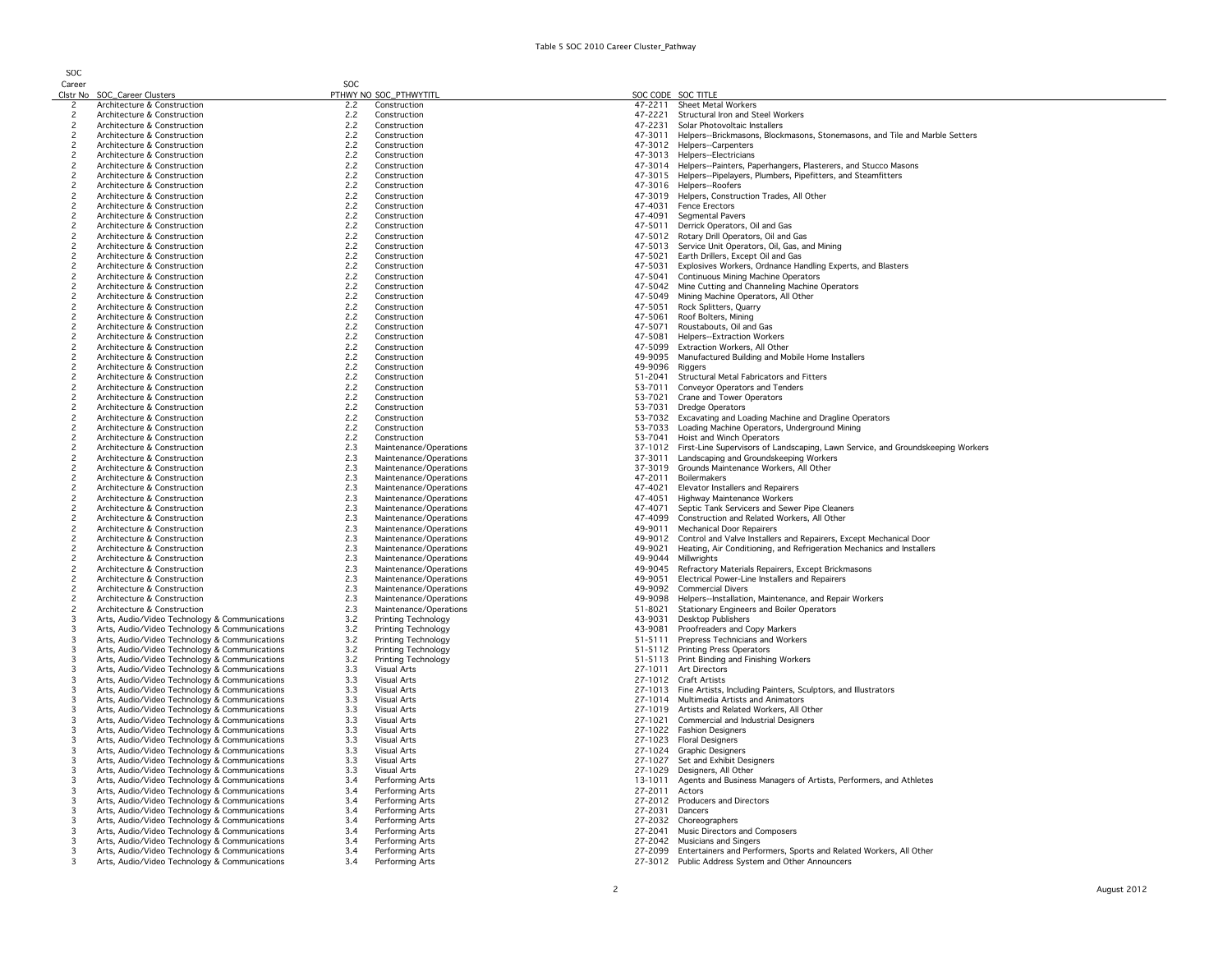SOC

|--|

|                          | Clstr No SOC_Career Clusters                  |     | PTHWY NO SOC_PTHWYTITL |                 | SOC CODE SOC TITLE                                                                      |
|--------------------------|-----------------------------------------------|-----|------------------------|-----------------|-----------------------------------------------------------------------------------------|
| $\mathbf{2}$             | Architecture & Construction                   | 2.2 | Construction           | 47-2211         | Sheet Metal Workers                                                                     |
| $\overline{c}$           | Architecture & Construction                   | 2.2 | Construction           |                 | 47-2221 Structural Iron and Steel Workers                                               |
| 2                        | Architecture & Construction                   | 2.2 | Construction           | 47-2231         | Solar Photovoltaic Installers                                                           |
| $\overline{c}$           | Architecture & Construction                   | 2.2 | Construction           |                 | 47-3011 Helpers--Brickmasons, Blockmasons, Stonemasons, and Tile and Marble Setters     |
| $\overline{c}$           | Architecture & Construction                   | 2.2 | Construction           |                 | 47-3012 Helpers--Carpenters                                                             |
| $\overline{c}$           | Architecture & Construction                   | 2.2 | Construction           |                 | 47-3013 Helpers--Electricians                                                           |
| $\overline{c}$           | Architecture & Construction                   | 2.2 | Construction           |                 | 47-3014 Helpers--Painters, Paperhangers, Plasterers, and Stucco Masons                  |
| $\overline{c}$           | Architecture & Construction                   | 2.2 | Construction           |                 | 47-3015 Helpers--Pipelayers, Plumbers, Pipefitters, and Steamfitters                    |
| $\overline{c}$           | Architecture & Construction                   | 2.2 | Construction           |                 | 47-3016 Helpers--Roofers                                                                |
|                          |                                               |     |                        |                 |                                                                                         |
| $\overline{c}$           | Architecture & Construction                   | 2.2 | Construction           |                 | 47-3019 Helpers, Construction Trades, All Other                                         |
| $\overline{\phantom{0}}$ | Architecture & Construction                   | 2.2 | Construction           |                 | 47-4031 Fence Erectors                                                                  |
| $\overline{c}$           | Architecture & Construction                   | 2.2 | Construction           | 47-4091         | Segmental Pavers                                                                        |
| $\overline{c}$           | Architecture & Construction                   | 2.2 | Construction           |                 | 47-5011 Derrick Operators, Oil and Gas                                                  |
| $\overline{\phantom{0}}$ | Architecture & Construction                   | 2.2 | Construction           |                 | 47-5012 Rotary Drill Operators, Oil and Gas                                             |
| $\overline{\phantom{0}}$ | Architecture & Construction                   | 2.2 | Construction           |                 | 47-5013 Service Unit Operators, Oil, Gas, and Mining                                    |
| $\overline{c}$           | Architecture & Construction                   | 2.2 | Construction           |                 | 47-5021 Earth Drillers, Except Oil and Gas                                              |
| $\overline{c}$           | Architecture & Construction                   | 2.2 | Construction           | 47-5031         | Explosives Workers, Ordnance Handling Experts, and Blasters                             |
| $\overline{c}$           | Architecture & Construction                   | 2.2 | Construction           | 47-5041         | Continuous Mining Machine Operators                                                     |
| $\overline{c}$           | Architecture & Construction                   | 2.2 | Construction           |                 | 47-5042 Mine Cutting and Channeling Machine Operators                                   |
| $\overline{c}$           | Architecture & Construction                   | 2.2 | Construction           |                 | 47-5049 Mining Machine Operators, All Other                                             |
| $\overline{\phantom{0}}$ | Architecture & Construction                   | 2.2 | Construction           |                 | 47-5051 Rock Splitters, Quarry                                                          |
| $\overline{c}$           | Architecture & Construction                   | 2.2 | Construction           | 47-5061         | Roof Bolters, Mining                                                                    |
| $\overline{c}$           | Architecture & Construction                   | 2.2 | Construction           | 47-5071         | Roustabouts, Oil and Gas                                                                |
| $\overline{c}$           |                                               |     |                        | 47-5081         | Helpers--Extraction Workers                                                             |
|                          | Architecture & Construction                   | 2.2 | Construction           |                 |                                                                                         |
| $\overline{c}$           | Architecture & Construction                   | 2.2 | Construction           |                 | 47-5099 Extraction Workers, All Other                                                   |
| $\overline{c}$           | Architecture & Construction                   | 2.2 | Construction           | 49-9095         | Manufactured Building and Mobile Home Installers                                        |
| $\overline{c}$           | Architecture & Construction                   | 2.2 | Construction           | 49-9096 Riggers |                                                                                         |
| $\overline{c}$           | Architecture & Construction                   | 2.2 | Construction           |                 | 51-2041 Structural Metal Fabricators and Fitters                                        |
| $\overline{c}$           | Architecture & Construction                   | 2.2 | Construction           | 53-7011         | Conveyor Operators and Tenders                                                          |
| $\overline{c}$           | Architecture & Construction                   | 2.2 | Construction           |                 | 53-7021 Crane and Tower Operators                                                       |
| $\overline{c}$           | Architecture & Construction                   | 2.2 | Construction           |                 | 53-7031 Dredge Operators                                                                |
| $\overline{c}$           | Architecture & Construction                   | 2.2 | Construction           |                 | 53-7032 Excavating and Loading Machine and Dragline Operators                           |
| $\overline{c}$           | Architecture & Construction                   | 2.2 | Construction           |                 | 53-7033 Loading Machine Operators, Underground Mining                                   |
| $\overline{c}$           | Architecture & Construction                   | 2.2 | Construction           |                 | 53-7041 Hoist and Winch Operators                                                       |
| $\overline{\phantom{0}}$ | Architecture & Construction                   | 2.3 | Maintenance/Operations |                 | 37-1012 First-Line Supervisors of Landscaping, Lawn Service, and Groundskeeping Workers |
| $\overline{c}$           | Architecture & Construction                   | 2.3 | Maintenance/Operations |                 | 37-3011 Landscaping and Groundskeeping Workers                                          |
| $\overline{c}$           |                                               | 2.3 |                        |                 | 37-3019 Grounds Maintenance Workers, All Other                                          |
|                          | Architecture & Construction                   |     | Maintenance/Operations |                 |                                                                                         |
| $\overline{c}$           | Architecture & Construction                   | 2.3 | Maintenance/Operations | 47-2011         | Boilermakers                                                                            |
| $\overline{\phantom{0}}$ | Architecture & Construction                   | 2.3 | Maintenance/Operations | 47-4021         | Elevator Installers and Repairers                                                       |
| $\overline{c}$           | Architecture & Construction                   | 2.3 | Maintenance/Operations | 47-4051         | Highway Maintenance Workers                                                             |
| $\overline{c}$           | Architecture & Construction                   | 2.3 | Maintenance/Operations | 47-4071         | Septic Tank Servicers and Sewer Pipe Cleaners                                           |
| $\overline{c}$           | Architecture & Construction                   | 2.3 | Maintenance/Operations | 47-4099         | Construction and Related Workers, All Other                                             |
| $\overline{c}$           | Architecture & Construction                   | 2.3 | Maintenance/Operations |                 | 49-9011 Mechanical Door Repairers                                                       |
| $\overline{c}$           | Architecture & Construction                   | 2.3 | Maintenance/Operations |                 | 49-9012 Control and Valve Installers and Repairers, Except Mechanical Door              |
| $\overline{\phantom{0}}$ | Architecture & Construction                   | 2.3 | Maintenance/Operations |                 | 49-9021 Heating, Air Conditioning, and Refrigeration Mechanics and Installers           |
| $\overline{c}$           | Architecture & Construction                   | 2.3 | Maintenance/Operations |                 | 49-9044 Millwrights                                                                     |
| $\overline{c}$           | Architecture & Construction                   | 2.3 | Maintenance/Operations |                 | 49-9045 Refractory Materials Repairers, Except Brickmasons                              |
| $\overline{c}$           | Architecture & Construction                   | 2.3 | Maintenance/Operations | 49-9051         | Electrical Power-Line Installers and Repairers                                          |
| $\overline{c}$           | Architecture & Construction                   | 2.3 | Maintenance/Operations |                 | 49-9092 Commercial Divers                                                               |
| $\overline{c}$           | Architecture & Construction                   | 2.3 | Maintenance/Operations | 49-9098         |                                                                                         |
|                          |                                               |     |                        |                 | Helpers--Installation, Maintenance, and Repair Workers                                  |
| $\overline{c}$           | Architecture & Construction                   | 2.3 | Maintenance/Operations | 51-8021         | <b>Stationary Engineers and Boiler Operators</b>                                        |
| 3                        | Arts, Audio/Video Technology & Communications | 3.2 | Printing Technology    | 43-9031         | Desktop Publishers                                                                      |
| 3                        | Arts, Audio/Video Technology & Communications | 3.2 | Printing Technology    | 43-9081         | Proofreaders and Copy Markers                                                           |
| 3                        | Arts, Audio/Video Technology & Communications | 3.2 | Printing Technology    |                 | 51-5111 Prepress Technicians and Workers                                                |
| $\overline{\mathbf{3}}$  | Arts, Audio/Video Technology & Communications | 3.2 | Printing Technology    |                 | 51-5112 Printing Press Operators                                                        |
| $\overline{\mathbf{3}}$  | Arts, Audio/Video Technology & Communications | 3.2 | Printing Technology    |                 | 51-5113 Print Binding and Finishing Workers                                             |
| 3                        | Arts, Audio/Video Technology & Communications | 3.3 | Visual Arts            |                 | 27-1011 Art Directors                                                                   |
| 3                        | Arts, Audio/Video Technology & Communications | 3.3 | Visual Arts            |                 | 27-1012 Craft Artists                                                                   |
| 3                        | Arts, Audio/Video Technology & Communications | 3.3 | Visual Arts            |                 | 27-1013 Fine Artists, Including Painters, Sculptors, and Illustrators                   |
| 3                        | Arts, Audio/Video Technology & Communications | 3.3 | Visual Arts            |                 | 27-1014 Multimedia Artists and Animators                                                |
| 3                        | Arts, Audio/Video Technology & Communications | 3.3 | Visual Arts            |                 | 27-1019 Artists and Related Workers, All Other                                          |
| 3                        | Arts, Audio/Video Technology & Communications | 3.3 | Visual Arts            |                 | 27-1021 Commercial and Industrial Designers                                             |
| 3                        | Arts, Audio/Video Technology & Communications | 3.3 | Visual Arts            |                 | 27-1022 Fashion Designers                                                               |
| 3                        | Arts, Audio/Video Technology & Communications | 3.3 | Visual Arts            |                 | 27-1023 Floral Designers                                                                |
| 3                        |                                               |     |                        |                 |                                                                                         |
|                          | Arts, Audio/Video Technology & Communications | 3.3 | Visual Arts            |                 | 27-1024 Graphic Designers                                                               |
| 3                        | Arts, Audio/Video Technology & Communications | 3.3 | Visual Arts            |                 | 27-1027 Set and Exhibit Designers                                                       |
| 3                        | Arts, Audio/Video Technology & Communications | 3.3 | Visual Arts            |                 | 27-1029 Designers, All Other                                                            |
| 3                        | Arts, Audio/Video Technology & Communications | 3.4 | Performing Arts        | 13-1011         | Agents and Business Managers of Artists, Performers, and Athletes                       |
| 3                        | Arts, Audio/Video Technology & Communications | 3.4 | Performing Arts        | 27-2011 Actors  |                                                                                         |
| 3                        | Arts, Audio/Video Technology & Communications | 3.4 | Performing Arts        |                 | 27-2012 Producers and Directors                                                         |
| 3                        | Arts, Audio/Video Technology & Communications | 3.4 | Performing Arts        | 27-2031         | Dancers                                                                                 |
| 3                        | Arts, Audio/Video Technology & Communications | 3.4 | Performing Arts        | 27-2032         | Choreographers                                                                          |
| 3                        | Arts, Audio/Video Technology & Communications | 3.4 | Performing Arts        | 27-2041         | Music Directors and Composers                                                           |
| 3                        | Arts, Audio/Video Technology & Communications | 3.4 | Performing Arts        |                 | 27-2042 Musicians and Singers                                                           |
| 3                        | Arts, Audio/Video Technology & Communications | 3.4 | Performing Arts        |                 | 27-2099 Entertainers and Performers, Sports and Related Workers, All Other              |
| 3                        | Arts, Audio/Video Technology & Communications | 3.4 | Performing Arts        |                 | 27-3012 Public Address System and Other Announcers                                      |
|                          |                                               |     |                        |                 |                                                                                         |
|                          |                                               |     |                        |                 |                                                                                         |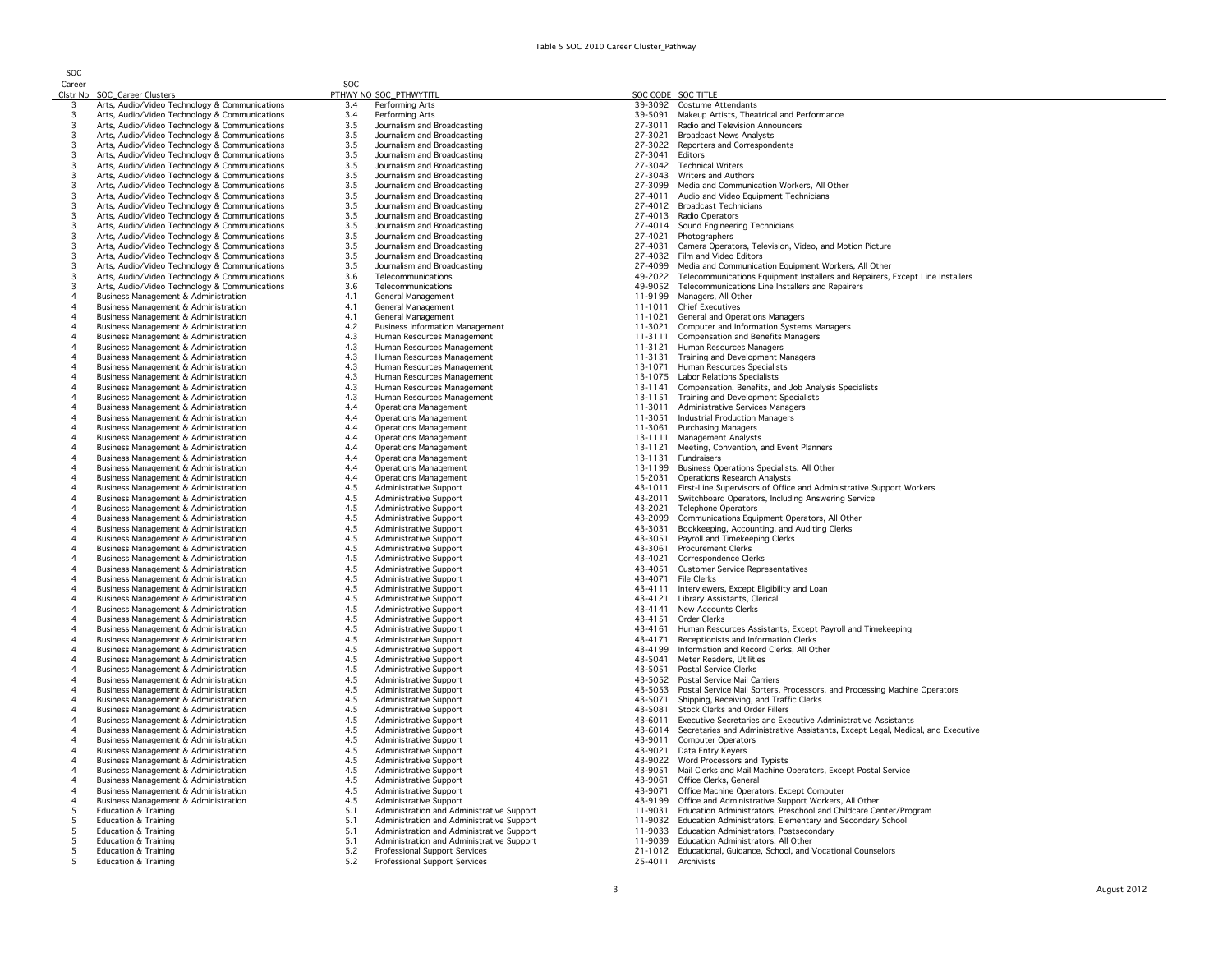| Career         |                                                 | <b>SOC</b> |                                           |         |                                                                                 |
|----------------|-------------------------------------------------|------------|-------------------------------------------|---------|---------------------------------------------------------------------------------|
|                | Clstr No SOC_Career Clusters                    |            | PTHWY NO SOC_PTHWYTITL                    |         | SOC CODE SOC TITLE                                                              |
| $\overline{3}$ | Arts, Audio/Video Technology & Communications   | 3.4        | Performing Arts                           | 39-3092 | <b>Costume Attendants</b>                                                       |
|                | Arts, Audio/Video Technology & Communications   | 3.4        | Performing Arts                           | 39-5091 | Makeup Artists, Theatrical and Performance                                      |
|                | Arts, Audio/Video Technology & Communications   | 3.5        | Journalism and Broadcasting               | 27-3011 | Radio and Television Announcers                                                 |
|                |                                                 |            |                                           |         |                                                                                 |
| $\overline{3}$ | Arts, Audio/Video Technology & Communications   | 3.5        | Journalism and Broadcasting               | 27-3021 | <b>Broadcast News Analysts</b>                                                  |
| $\overline{3}$ | Arts, Audio/Video Technology & Communications   | 3.5        | Journalism and Broadcasting               |         | 27-3022 Reporters and Correspondents                                            |
| $\overline{3}$ | Arts, Audio/Video Technology & Communications   | 3.5        | Journalism and Broadcasting               | 27-3041 | Editors                                                                         |
| $\overline{3}$ | Arts, Audio/Video Technology & Communications   | 3.5        | Journalism and Broadcasting               | 27-3042 | <b>Technical Writers</b>                                                        |
| $\overline{3}$ | Arts, Audio/Video Technology & Communications   | 3.5        | Journalism and Broadcasting               |         | 27-3043 Writers and Authors                                                     |
| $\overline{3}$ | Arts, Audio/Video Technology & Communications   | 3.5        | Journalism and Broadcasting               | 27-3099 | Media and Communication Workers, All Other                                      |
| 3              | Arts, Audio/Video Technology & Communications   | 3.5        | Journalism and Broadcasting               |         | 27-4011 Audio and Video Equipment Technicians                                   |
| 3              | Arts, Audio/Video Technology & Communications   | 3.5        | Journalism and Broadcasting               | 27-4012 | <b>Broadcast Technicians</b>                                                    |
| 3              |                                                 | 3.5        | Journalism and Broadcasting               |         | 27-4013 Radio Operators                                                         |
|                | Arts, Audio/Video Technology & Communications   |            |                                           |         |                                                                                 |
| 3              | Arts, Audio/Video Technology & Communications   | 3.5        | Journalism and Broadcasting               |         | 27-4014 Sound Engineering Technicians                                           |
| 3              | Arts, Audio/Video Technology & Communications   | 3.5        | Journalism and Broadcasting               | 27-4021 | Photographers                                                                   |
| 3              | Arts, Audio/Video Technology & Communications   | 3.5        | Journalism and Broadcasting               | 27-4031 | Camera Operators, Television, Video, and Motion Picture                         |
| 3              | Arts, Audio/Video Technology & Communications   | 3.5        | Journalism and Broadcasting               | 27-4032 | Film and Video Editors                                                          |
| 3              | Arts, Audio/Video Technology & Communications   | 3.5        | Journalism and Broadcasting               | 27-4099 | Media and Communication Equipment Workers, All Other                            |
| 3              | Arts, Audio/Video Technology & Communications   | 3.6        | Telecommunications                        | 49-2022 | Telecommunications Equipment Installers and Repairers, Except Line Installers   |
| 3              | Arts, Audio/Video Technology & Communications   | 3.6        | Telecommunications                        | 49-9052 | Telecommunications Line Installers and Repairers                                |
| $\overline{4}$ |                                                 |            |                                           |         |                                                                                 |
|                | Business Management & Administration            | 4.1        | General Management                        | 11-9199 | Managers, All Other                                                             |
| $\overline{4}$ | Business Management & Administration            | 4.1        | General Management                        | 11-1011 | <b>Chief Executives</b>                                                         |
| $\overline{4}$ | Business Management & Administration            | 4.1        | General Management                        | 11-1021 | General and Operations Managers                                                 |
| $\overline{4}$ | Business Management & Administration            | 4.2        | <b>Business Information Management</b>    | 11-3021 | Computer and Information Systems Managers                                       |
| $\overline{4}$ | Business Management & Administration            | 4.3        | Human Resources Management                | 11-3111 | <b>Compensation and Benefits Managers</b>                                       |
|                | <b>Business Management &amp; Administration</b> | 4.3        | Human Resources Management                | 11-3121 | Human Resources Managers                                                        |
| $\overline{4}$ | Business Management & Administration            | 4.3        | Human Resources Management                |         | 11-3131 Training and Development Managers                                       |
| $\overline{4}$ | Business Management & Administration            | 4.3        | Human Resources Management                | 13-1071 | Human Resources Specialists                                                     |
| $\overline{4}$ |                                                 |            |                                           |         |                                                                                 |
|                | Business Management & Administration            | 4.3        | Human Resources Management                |         | 13-1075 Labor Relations Specialists                                             |
| $\overline{4}$ | Business Management & Administration            | 4.3        | Human Resources Management                |         | 13-1141 Compensation, Benefits, and Job Analysis Specialists                    |
| $\overline{4}$ | Business Management & Administration            | 4.3        | Human Resources Management                |         | 13-1151 Training and Development Specialists                                    |
| $\overline{4}$ | Business Management & Administration            | 4.4        | <b>Operations Management</b>              | 11-3011 | Administrative Services Managers                                                |
| $\overline{4}$ | Business Management & Administration            | 4.4        | <b>Operations Management</b>              | 11-3051 | <b>Industrial Production Managers</b>                                           |
| $\overline{4}$ | Business Management & Administration            | 4.4        | <b>Operations Management</b>              | 11-3061 | <b>Purchasing Managers</b>                                                      |
| $\overline{4}$ | Business Management & Administration            | 4.4        | <b>Operations Management</b>              | 13-1111 | Management Analysts                                                             |
| $\overline{4}$ | Business Management & Administration            | 4.4        | <b>Operations Management</b>              | 13-1121 | Meeting, Convention, and Event Planners                                         |
| $\overline{4}$ |                                                 | 4.4        | <b>Operations Management</b>              | 13-1131 | Fundraisers                                                                     |
|                | Business Management & Administration            |            |                                           |         |                                                                                 |
|                | Business Management & Administration            | 4.4        | <b>Operations Management</b>              | 13-1199 | Business Operations Specialists, All Other                                      |
| $\overline{4}$ | Business Management & Administration            | 4.4        | <b>Operations Management</b>              | 15-2031 | <b>Operations Research Analysts</b>                                             |
| $\overline{4}$ | Business Management & Administration            | 4.5        | Administrative Support                    | 43-1011 | First-Line Supervisors of Office and Administrative Support Workers             |
| $\overline{4}$ | Business Management & Administration            | 4.5        | Administrative Support                    | 43-2011 | Switchboard Operators, Including Answering Service                              |
| $\overline{4}$ | Business Management & Administration            | 4.5        | Administrative Support                    | 43-2021 | <b>Telephone Operators</b>                                                      |
| $\overline{4}$ | Business Management & Administration            | 4.5        | Administrative Support                    | 43-2099 | Communications Equipment Operators, All Other                                   |
| $\overline{4}$ | Business Management & Administration            | 4.5        | Administrative Support                    | 43-3031 | Bookkeeping, Accounting, and Auditing Clerks                                    |
| $\overline{4}$ |                                                 | 4.5        |                                           |         | Payroll and Timekeeping Clerks                                                  |
|                | Business Management & Administration            |            | Administrative Support                    | 43-3051 |                                                                                 |
| $\overline{4}$ | Business Management & Administration            | 4.5        | Administrative Support                    | 43-3061 | Procurement Clerks                                                              |
| $\overline{4}$ | Business Management & Administration            | 4.5        | Administrative Support                    | 43-4021 | Correspondence Clerks                                                           |
| $\overline{4}$ | Business Management & Administration            | 4.5        | Administrative Support                    | 43-4051 | <b>Customer Service Representatives</b>                                         |
| $\overline{4}$ | <b>Business Management &amp; Administration</b> | 4.5        | Administrative Support                    | 43-4071 | File Clerks                                                                     |
| $\overline{4}$ | <b>Business Management &amp; Administration</b> | 4.5        | Administrative Support                    | 43-4111 | Interviewers, Except Eligibility and Loan                                       |
| $\overline{4}$ | Business Management & Administration            | 4.5        | Administrative Support                    | 43-4121 | Library Assistants, Clerical                                                    |
| $\overline{4}$ | Business Management & Administration            | 4.5        | Administrative Support                    | 43-4141 | New Accounts Clerks                                                             |
| $\overline{4}$ | Business Management & Administration            | 4.5        | Administrative Support                    | 43-4151 | Order Clerks                                                                    |
|                |                                                 |            |                                           |         |                                                                                 |
| $\overline{4}$ | Business Management & Administration            | 4.5        | Administrative Support                    | 43-4161 | Human Resources Assistants, Except Payroll and Timekeeping                      |
| $\overline{4}$ | Business Management & Administration            | 4.5        | Administrative Support                    | 43-4171 | Receptionists and Information Clerks                                            |
| $\overline{4}$ | Business Management & Administration            | 4.5        | Administrative Support                    |         | 43-4199 Information and Record Clerks, All Other                                |
| $\overline{4}$ | Business Management & Administration            | 4.5        | Administrative Support                    | 43-5041 | Meter Readers, Utilities                                                        |
| $\overline{4}$ | Business Management & Administration            | 4.5        | Administrative Support                    | 43-5051 | Postal Service Clerks                                                           |
| $\overline{4}$ | Business Management & Administration            | 4.5        | Administrative Support                    |         | 43-5052 Postal Service Mail Carriers                                            |
| $\overline{4}$ | Business Management & Administration            | 4.5        | Administrative Support                    | 43-5053 | Postal Service Mail Sorters, Processors, and Processing Machine Operators       |
| $\overline{4}$ | Business Management & Administration            | 4.5        | Administrative Support                    | 43-5071 | Shipping, Receiving, and Traffic Clerks                                         |
|                | Business Management & Administration            | 4.5        | Administrative Support                    | 43-5081 | Stock Clerks and Order Fillers                                                  |
| $\overline{4}$ |                                                 | 4.5        |                                           | 43-6011 |                                                                                 |
|                | Business Management & Administration            |            | Administrative Support                    |         | Executive Secretaries and Executive Administrative Assistants                   |
| $\overline{4}$ | Business Management & Administration            | 4.5        | Administrative Support                    | 43-6014 | Secretaries and Administrative Assistants, Except Legal, Medical, and Executive |
| $\overline{4}$ | Business Management & Administration            | 4.5        | Administrative Support                    | 43-9011 | <b>Computer Operators</b>                                                       |
| $\overline{4}$ | <b>Business Management &amp; Administration</b> | 4.5        | Administrative Support                    | 43-9021 | Data Entry Keyers                                                               |
| $\overline{4}$ | Business Management & Administration            | 4.5        | Administrative Support                    | 43-9022 | Word Processors and Typists                                                     |
| $\overline{4}$ | <b>Business Management &amp; Administration</b> | 4.5        | Administrative Support                    | 43-9051 | Mail Clerks and Mail Machine Operators, Except Postal Service                   |
| $\overline{4}$ | Business Management & Administration            | 4.5        | Administrative Support                    | 43-9061 | Office Clerks, General                                                          |
| $\overline{4}$ | Business Management & Administration            | 4.5        | Administrative Support                    | 43-9071 | Office Machine Operators, Except Computer                                       |
| $\overline{4}$ | Business Management & Administration            | 4.5        | Administrative Support                    | 43-9199 | Office and Administrative Support Workers, All Other                            |
| $\overline{5}$ | Education & Training                            |            |                                           |         |                                                                                 |
|                |                                                 | 5.1        | Administration and Administrative Support | 11-9031 | Education Administrators, Preschool and Childcare Center/Program                |
| 5              | <b>Education &amp; Training</b>                 | 5.1        | Administration and Administrative Support |         | 11-9032 Education Administrators, Elementary and Secondary School               |
| 5              | <b>Education &amp; Training</b>                 | 5.1        | Administration and Administrative Support |         | 11-9033 Education Administrators, Postsecondary                                 |
| 5              | <b>Education &amp; Training</b>                 | 5.1        | Administration and Administrative Support |         | 11-9039 Education Administrators, All Other                                     |
| -5             | <b>Education &amp; Training</b>                 | 5.2        | Professional Support Services             |         | 21-1012 Educational, Guidance, School, and Vocational Counselors                |
| -5             | <b>Education &amp; Training</b>                 | 5.2        | Professional Support Services             |         | 25-4011 Archivists                                                              |
|                |                                                 |            |                                           |         |                                                                                 |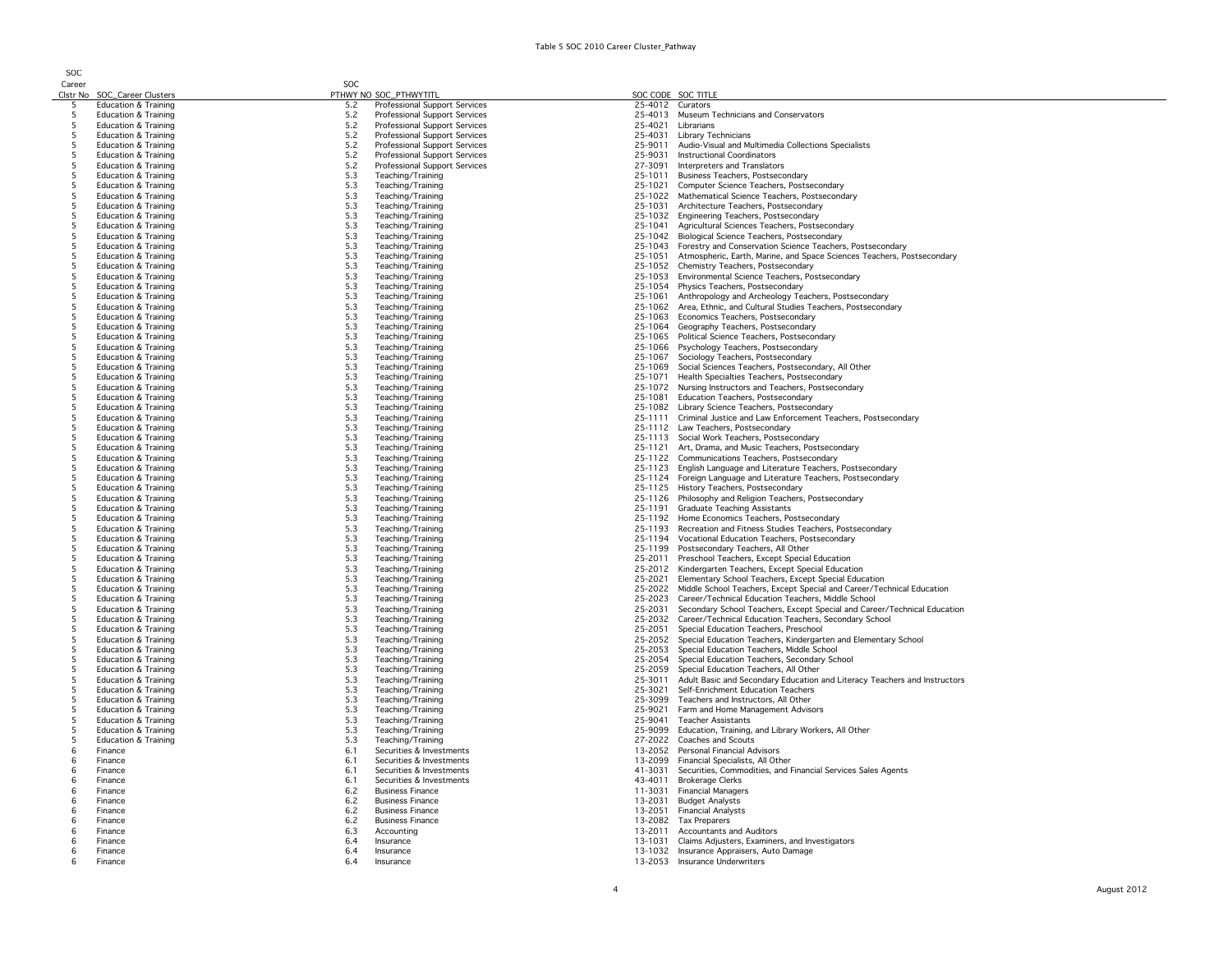SOC

|          | Clstr No SOC_Career Clusters                            |            | PTHWY NO SOC_PTHWYTITL                 |                    | SOC CODE SOC TITLE                                                                                              |
|----------|---------------------------------------------------------|------------|----------------------------------------|--------------------|-----------------------------------------------------------------------------------------------------------------|
| 5        | Education & Training                                    | 5.2        | Professional Support Services          | 25-4012 Curators   |                                                                                                                 |
| 5        | <b>Education &amp; Training</b>                         | 5.2        | Professional Support Services          | 25-4013            | Museum Technicians and Conservators                                                                             |
| -5       | <b>Education &amp; Training</b>                         | 5.2        | Professional Support Services          | 25-4021            | Librarians                                                                                                      |
| -5       | <b>Education &amp; Training</b>                         | 5.2        | Professional Support Services          | 25-4031            | Library Technicians                                                                                             |
| - 5      | <b>Education &amp; Training</b>                         | 5.2        | Professional Support Services          | 25-9011            | Audio-Visual and Multimedia Collections Specialists                                                             |
| 5        | <b>Education &amp; Training</b>                         | 5.2        | Professional Support Services          | 25-9031            | <b>Instructional Coordinators</b>                                                                               |
| -5       | <b>Education &amp; Training</b>                         | 5.2        | Professional Support Services          | 27-3091            | Interpreters and Translators                                                                                    |
| 5        | <b>Education &amp; Training</b>                         | 5.3        | Teaching/Training                      | 25-1011            | Business Teachers, Postsecondary                                                                                |
| 5        | <b>Education &amp; Training</b>                         | 5.3        | Teaching/Training                      | 25-1021            | Computer Science Teachers, Postsecondary                                                                        |
| 5        | <b>Education &amp; Training</b>                         | 5.3        | Teaching/Training                      |                    | 25-1022 Mathematical Science Teachers, Postsecondary                                                            |
| 5        | <b>Education &amp; Training</b>                         | 5.3        | Teaching/Training                      | 25-1031            | Architecture Teachers, Postsecondary                                                                            |
| 5        | <b>Education &amp; Training</b>                         | 5.3        | Teaching/Training                      |                    | 25-1032 Engineering Teachers, Postsecondary                                                                     |
| 5        | <b>Education &amp; Training</b>                         | 5.3        | Teaching/Training                      |                    | 25-1041 Agricultural Sciences Teachers, Postsecondary                                                           |
| 5        | <b>Education &amp; Training</b>                         | 5.3        | Teaching/Training                      |                    | 25-1042 Biological Science Teachers, Postsecondary                                                              |
| 5        | Education & Training                                    | 5.3        | Teaching/Training                      |                    | 25-1043 Forestry and Conservation Science Teachers, Postsecondary                                               |
| 5        | <b>Education &amp; Training</b>                         | 5.3        | Teaching/Training                      |                    | 25-1051 Atmospheric, Earth, Marine, and Space Sciences Teachers, Postsecondary                                  |
| 5        | <b>Education &amp; Training</b>                         | 5.3        | Teaching/Training                      |                    | 25-1052 Chemistry Teachers, Postsecondary                                                                       |
| 5        | Education & Training                                    | 5.3        | Teaching/Training                      |                    | 25-1053 Environmental Science Teachers, Postsecondary                                                           |
| 5        | <b>Education &amp; Training</b>                         | 5.3        | Teaching/Training                      |                    | 25-1054 Physics Teachers, Postsecondary                                                                         |
| 5        | <b>Education &amp; Training</b>                         | 5.3        | Teaching/Training                      |                    | 25-1061 Anthropology and Archeology Teachers, Postsecondary                                                     |
| -5       | Education & Training<br><b>Education &amp; Training</b> | 5.3<br>5.3 | Teaching/Training<br>Teaching/Training |                    | 25-1062 Area, Ethnic, and Cultural Studies Teachers, Postsecondary<br>25-1063 Economics Teachers, Postsecondary |
| -5<br>-5 | Education & Training                                    | 5.3        | Teaching/Training                      |                    | 25-1064 Geography Teachers, Postsecondary                                                                       |
| -5       | Education & Training                                    | 5.3        | Teaching/Training                      |                    | 25-1065 Political Science Teachers, Postsecondary                                                               |
| -5       | Education & Training                                    | 5.3        | Teaching/Training                      |                    | 25-1066 Psychology Teachers, Postsecondary                                                                      |
| 5        | <b>Education &amp; Training</b>                         | 5.3        | Teaching/Training                      |                    | 25-1067 Sociology Teachers, Postsecondary                                                                       |
| 5        | Education & Training                                    | 5.3        | Teaching/Training                      | 25-1069            | Social Sciences Teachers, Postsecondary, All Other                                                              |
| 5        | Education & Training                                    | 5.3        | Teaching/Training                      | 25-1071            | Health Specialties Teachers, Postsecondary                                                                      |
| 5        | <b>Education &amp; Training</b>                         | 5.3        | Teaching/Training                      | 25-1072            | Nursing Instructors and Teachers, Postsecondary                                                                 |
| 5        | Education & Training                                    | 5.3        | Teaching/Training                      | 25-1081            | Education Teachers, Postsecondary                                                                               |
| 5        | Education & Training                                    | 5.3        | Teaching/Training                      |                    | 25-1082 Library Science Teachers, Postsecondary                                                                 |
| 5        | <b>Education &amp; Training</b>                         | 5.3        | Teaching/Training                      | 25-1111            | Criminal Justice and Law Enforcement Teachers, Postsecondary                                                    |
| 5        | <b>Education &amp; Training</b>                         | 5.3        | Teaching/Training                      |                    | 25-1112 Law Teachers, Postsecondary                                                                             |
| 5        | <b>Education &amp; Training</b>                         | 5.3        | Teaching/Training                      |                    | 25-1113 Social Work Teachers, Postsecondary                                                                     |
| 5        | <b>Education &amp; Training</b>                         | 5.3        | Teaching/Training                      |                    | 25-1121 Art, Drama, and Music Teachers, Postsecondary                                                           |
| 5        | <b>Education &amp; Training</b>                         | 5.3        | Teaching/Training                      |                    | 25-1122 Communications Teachers, Postsecondary                                                                  |
| 5        | <b>Education &amp; Training</b>                         | 5.3        | Teaching/Training                      |                    | 25-1123 English Language and Literature Teachers, Postsecondary                                                 |
| 5        | <b>Education &amp; Training</b>                         | 5.3        | Teaching/Training                      |                    | 25-1124 Foreign Language and Literature Teachers, Postsecondary                                                 |
| -5       | <b>Education &amp; Training</b>                         | 5.3        | Teaching/Training                      |                    | 25-1125 History Teachers, Postsecondary                                                                         |
| 5        | <b>Education &amp; Training</b>                         | 5.3        | Teaching/Training                      |                    | 25-1126 Philosophy and Religion Teachers, Postsecondary                                                         |
| -5       | <b>Education &amp; Training</b>                         | 5.3        | Teaching/Training                      |                    | 25-1191 Graduate Teaching Assistants                                                                            |
| -5       | <b>Education &amp; Training</b>                         | 5.3        | Teaching/Training                      |                    | 25-1192 Home Economics Teachers, Postsecondary                                                                  |
| 5        | <b>Education &amp; Training</b>                         | 5.3        | Teaching/Training                      |                    | 25-1193 Recreation and Fitness Studies Teachers, Postsecondary                                                  |
| 5        | <b>Education &amp; Training</b>                         | 5.3        | Teaching/Training                      |                    | 25-1194 Vocational Education Teachers, Postsecondary                                                            |
| 5        | <b>Education &amp; Training</b>                         | 5.3        | Teaching/Training                      |                    | 25-1199 Postsecondary Teachers, All Other                                                                       |
| 5        | <b>Education &amp; Training</b>                         | 5.3        | Teaching/Training                      |                    | 25-2011 Preschool Teachers, Except Special Education                                                            |
| 5        | <b>Education &amp; Training</b>                         | 5.3        | Teaching/Training                      |                    | 25-2012 Kindergarten Teachers, Except Special Education                                                         |
| 5        | Education & Training                                    | 5.3        | Teaching/Training                      |                    | 25-2021 Elementary School Teachers, Except Special Education                                                    |
| 5        | Education & Training                                    | 5.3        | Teaching/Training                      |                    | 25-2022 Middle School Teachers, Except Special and Career/Technical Education                                   |
| 5        | <b>Education &amp; Training</b>                         | 5.3        | Teaching/Training                      |                    | 25-2023 Career/Technical Education Teachers, Middle School                                                      |
| 5        | <b>Education &amp; Training</b>                         | 5.3        | Teaching/Training                      |                    | 25-2031 Secondary School Teachers, Except Special and Career/Technical Education                                |
| 5        | Education & Training                                    | 5.3        | Teaching/Training                      |                    | 25-2032 Career/Technical Education Teachers, Secondary School                                                   |
| 5        | <b>Education &amp; Training</b>                         | 5.3        | Teaching/Training                      | 25-2051            | Special Education Teachers, Preschool                                                                           |
| 5        | <b>Education &amp; Training</b>                         | 5.3        | Teaching/Training                      |                    | 25-2052 Special Education Teachers, Kindergarten and Elementary School                                          |
| 5        | <b>Education &amp; Training</b>                         | 5.3        | Teaching/Training                      |                    | 25-2053 Special Education Teachers, Middle School                                                               |
| 5        | <b>Education &amp; Training</b>                         | 5.3        | Teaching/Training                      |                    | 25-2054 Special Education Teachers, Secondary School                                                            |
| 5        | <b>Education &amp; Training</b>                         | 5.3<br>5.3 | Teaching/Training                      | 25-2059            | Special Education Teachers, All Other                                                                           |
| -5       | Education & Training                                    |            | Teaching/Training                      |                    | 25-3011 Adult Basic and Secondary Education and Literacy Teachers and Instructors                               |
| -5<br>-5 | Education & Training                                    | 5.3<br>5.3 | Teaching/Training<br>Teaching/Training | 25-3021<br>25-3099 | Self-Enrichment Education Teachers                                                                              |
| -5       | Education & Training<br><b>Education &amp; Training</b> | 5.3        | Teaching/Training                      | 25-9021            | Teachers and Instructors, All Other<br>Farm and Home Management Advisors                                        |
| -5       | <b>Education &amp; Training</b>                         | 5.3        | Teaching/Training                      | 25-9041            | <b>Teacher Assistants</b>                                                                                       |
| -5       | Education & Training                                    | 5.3        | Teaching/Training                      | 25-9099            | Education, Training, and Library Workers, All Other                                                             |
| 5        | <b>Education &amp; Training</b>                         | 5.3        | Teaching/Training                      | 27-2022            | Coaches and Scouts                                                                                              |
| 6        | Finance                                                 | 6.1        | Securities & Investments               |                    | 13-2052 Personal Financial Advisors                                                                             |
| 6        | Finance                                                 | 6.1        | Securities & Investments               |                    | 13-2099 Financial Specialists, All Other                                                                        |
| 6        | Finance                                                 | 6.1        | Securities & Investments               | 41-3031            | Securities, Commodities, and Financial Services Sales Agents                                                    |
| -6       | Finance                                                 | 6.1        | Securities & Investments               | 43-4011            | <b>Brokerage Clerks</b>                                                                                         |
| -6       | Finance                                                 | 6.2        | <b>Business Finance</b>                | 11-3031            | <b>Financial Managers</b>                                                                                       |
| 6        | Finance                                                 | 6.2        | <b>Business Finance</b>                | 13-2031            | <b>Budget Analysts</b>                                                                                          |
| 6        | Einance                                                 | 6.2        | <b>Business Finance</b>                | 13-2051            | <b>Financial Analysts</b>                                                                                       |
| 6        | Finance                                                 | 6.2        | <b>Business Finance</b>                |                    | 13-2082 Tax Preparers                                                                                           |
| 6        | Finance                                                 | 6.3        | Accounting                             | 13-2011            | <b>Accountants and Auditors</b>                                                                                 |
| -6       | Finance                                                 | 6.4        | Insurance                              | 13-1031            | Claims Adjusters, Examiners, and Investigators                                                                  |
| 6        | Finance                                                 | 6.4        | Insurance                              |                    | 13-1032 Insurance Appraisers, Auto Damage                                                                       |
| 6        | Finance                                                 | 6.4        | Insurance                              |                    | 13-2053 Insurance Underwriters                                                                                  |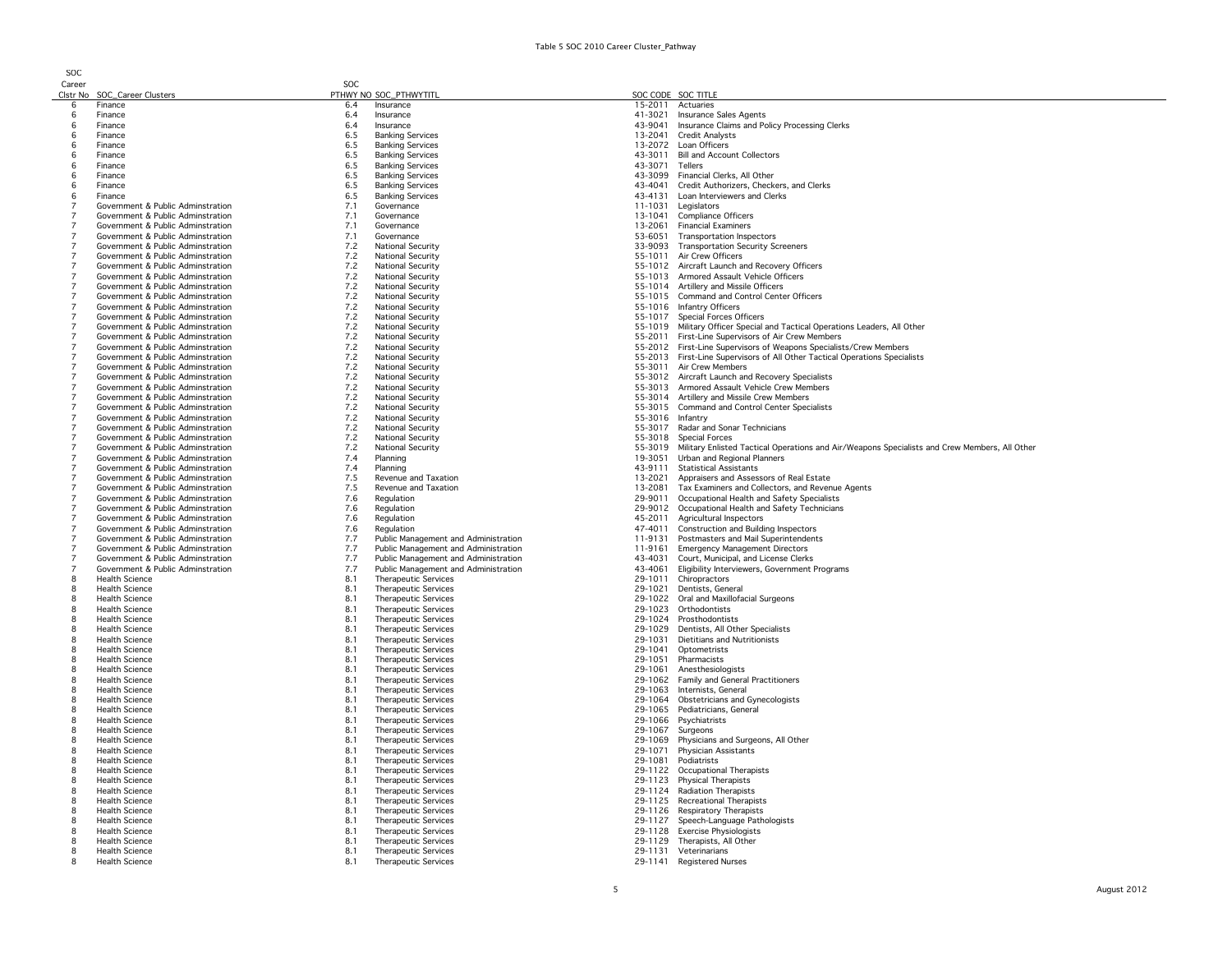| <b>SOC</b>                       |                                                                        |            |                                                            |                    |                                                                                               |
|----------------------------------|------------------------------------------------------------------------|------------|------------------------------------------------------------|--------------------|-----------------------------------------------------------------------------------------------|
| Career                           |                                                                        | SOC        |                                                            |                    |                                                                                               |
| 6                                | Clstr No SOC_Career Clusters<br>Finance                                | 6.4        | PTHWY NO SOC_PTHWYTITL<br>Insurance                        | 15-2011            | SOC CODE SOC TITLE<br>Actuaries                                                               |
| 6                                | Finance                                                                | 6.4        | Insurance                                                  | 41-3021            | Insurance Sales Agents                                                                        |
| 6                                | Finance                                                                | 6.4        | Insurance                                                  | 43-9041            | Insurance Claims and Policy Processing Clerks                                                 |
| 6                                | Finance                                                                | 6.5        | <b>Banking Services</b>                                    | 13-2041            | <b>Credit Analysts</b>                                                                        |
| 6                                | Finance                                                                | 6.5        | <b>Banking Services</b>                                    |                    | 13-2072 Loan Officers                                                                         |
| 6                                | Finance                                                                | 6.5        | <b>Banking Services</b>                                    | 43-3011            | <b>Bill and Account Collectors</b>                                                            |
| 6                                | Finance                                                                | 6.5        | <b>Banking Services</b>                                    | 43-3071            | Tellers                                                                                       |
| 6                                | Finance                                                                | 6.5        | <b>Banking Services</b>                                    | 43-3099            | Financial Clerks, All Other                                                                   |
| 6                                | Finance                                                                | 6.5        | <b>Banking Services</b>                                    |                    | 43-4041 Credit Authorizers, Checkers, and Clerks                                              |
| 6                                | Finance                                                                | 6.5        | <b>Banking Services</b>                                    | 43-4131            | Loan Interviewers and Clerks                                                                  |
| $\overline{7}$                   | Government & Public Adminstration                                      | 7.1        | Governance                                                 | 11-1031            | Legislators                                                                                   |
| $\overline{7}$                   | Government & Public Adminstration                                      | 7.1        | Governance                                                 | 13-1041            | <b>Compliance Officers</b>                                                                    |
| $\overline{7}$                   | Government & Public Adminstration                                      | 7.1        | Governance                                                 | 13-2061            | <b>Financial Examiners</b>                                                                    |
|                                  | Government & Public Adminstration                                      | 7.1        | Governance                                                 | 53-6051            | <b>Transportation Inspectors</b>                                                              |
| $\overline{7}$<br>$\overline{7}$ | Government & Public Adminstration                                      | 7.2        | <b>National Security</b>                                   | 33-9093            | <b>Transportation Security Screeners</b>                                                      |
|                                  | Government & Public Adminstration                                      | 7.2        | <b>National Security</b>                                   | 55-1011            | Air Crew Officers                                                                             |
| $\overline{7}$                   | Government & Public Adminstration<br>Government & Public Adminstration | 7.2<br>7.2 | National Security<br><b>National Security</b>              |                    | 55-1012 Aircraft Launch and Recovery Officers<br>55-1013 Armored Assault Vehicle Officers     |
| $\overline{7}$                   | Government & Public Adminstration                                      | 7.2        | <b>National Security</b>                                   |                    | 55-1014 Artillery and Missile Officers                                                        |
| $\overline{7}$                   | Government & Public Adminstration                                      | 7.2        | <b>National Security</b>                                   |                    | 55-1015 Command and Control Center Officers                                                   |
| $\overline{7}$                   | Government & Public Adminstration                                      | 7.2        | <b>National Security</b>                                   |                    | 55-1016 Infantry Officers                                                                     |
|                                  | Government & Public Adminstration                                      | 7.2        | <b>National Security</b>                                   |                    | 55-1017 Special Forces Officers                                                               |
| $\overline{7}$                   | Government & Public Adminstration                                      | 7.2        | <b>National Security</b>                                   | 55-1019            | Military Officer Special and Tactical Operations Leaders, All Other                           |
| $\overline{7}$                   | Government & Public Adminstration                                      | 7.2        | <b>National Security</b>                                   |                    | 55-2011 First-Line Supervisors of Air Crew Members                                            |
| $\overline{7}$                   | Government & Public Adminstration                                      | 7.2        | <b>National Security</b>                                   |                    | 55-2012 First-Line Supervisors of Weapons Specialists/Crew Members                            |
| $\overline{7}$                   | Government & Public Adminstration                                      | 7.2        | <b>National Security</b>                                   |                    | 55-2013 First-Line Supervisors of All Other Tactical Operations Specialists                   |
|                                  | Government & Public Adminstration                                      | 7.2        | <b>National Security</b>                                   |                    | 55-3011 Air Crew Members                                                                      |
| 7                                | Government & Public Adminstration                                      | 7.2        | <b>National Security</b>                                   |                    | 55-3012 Aircraft Launch and Recovery Specialists                                              |
|                                  | Government & Public Adminstration                                      | 7.2        | National Security                                          |                    | 55-3013 Armored Assault Vehicle Crew Members                                                  |
|                                  | Government & Public Adminstration                                      | 7.2        | <b>National Security</b>                                   |                    | 55-3014 Artillery and Missile Crew Members                                                    |
|                                  | Government & Public Adminstration                                      | 7.2        | National Security                                          |                    | 55-3015 Command and Control Center Specialists                                                |
|                                  | Government & Public Adminstration                                      | 7.2        | <b>National Security</b>                                   | 55-3016 Infantry   |                                                                                               |
| $\overline{7}$                   | Government & Public Adminstration                                      | 7.2        | <b>National Security</b>                                   |                    | 55-3017 Radar and Sonar Technicians                                                           |
| $\overline{7}$                   | Government & Public Adminstration                                      | 7.2        | <b>National Security</b>                                   |                    | 55-3018 Special Forces                                                                        |
| $\overline{7}$<br>$\overline{7}$ | Government & Public Adminstration                                      | 7.2        | <b>National Security</b>                                   | 55-3019            | Military Enlisted Tactical Operations and Air/Weapons Specialists and Crew Members, All Other |
| $\overline{7}$                   | Government & Public Adminstration                                      | 7.4<br>7.4 | Planning<br>Planning                                       | 19-3051<br>43-9111 | Urban and Regional Planners<br><b>Statistical Assistants</b>                                  |
| $\overline{7}$                   | Government & Public Adminstration<br>Government & Public Adminstration | 7.5        | Revenue and Taxation                                       | 13-2021            | Appraisers and Assessors of Real Estate                                                       |
|                                  | Government & Public Adminstration                                      | 7.5        | Revenue and Taxation                                       | 13-2081            | Tax Examiners and Collectors, and Revenue Agents                                              |
| $\overline{7}$                   | Government & Public Adminstration                                      | 7.6        | Regulation                                                 | 29-9011            | Occupational Health and Safety Specialists                                                    |
| $\overline{7}$                   | Government & Public Adminstration                                      | 7.6        | Regulation                                                 | 29-9012            | Occupational Health and Safety Technicians                                                    |
| $\overline{7}$                   | Government & Public Adminstration                                      | 7.6        | Regulation                                                 | 45-2011            | Agricultural Inspectors                                                                       |
| $\overline{7}$                   | Government & Public Adminstration                                      | 7.6        | Regulation                                                 | 47-4011            | Construction and Building Inspectors                                                          |
| $\overline{7}$                   | Government & Public Adminstration                                      | 7.7        | Public Management and Administration                       | 11-9131            | Postmasters and Mail Superintendents                                                          |
| $\overline{7}$                   | Government & Public Adminstration                                      | 7.7        | Public Management and Administration                       | 11-9161            | <b>Emergency Management Directors</b>                                                         |
| $\overline{7}$                   | Government & Public Adminstration                                      | 7.7        | Public Management and Administration                       | 43-4031            | Court, Municipal, and License Clerks                                                          |
|                                  | Government & Public Adminstration                                      | 7.7        | Public Management and Administration                       | 43-4061            | Eligibility Interviewers, Government Programs                                                 |
| 8                                | <b>Health Science</b>                                                  | 8.1        | Therapeutic Services                                       | 29-1011            | Chiropractors                                                                                 |
| 8                                | <b>Health Science</b>                                                  | 8.1        | <b>Therapeutic Services</b>                                | 29-1021            | Dentists, General                                                                             |
| 8                                | <b>Health Science</b>                                                  | 8.1        | Therapeutic Services                                       | 29-1022            | Oral and Maxillofacial Surgeons                                                               |
| 8                                | <b>Health Science</b>                                                  | 8.1        | <b>Therapeutic Services</b>                                |                    | 29-1023 Orthodontists                                                                         |
| 8<br>8                           | <b>Health Science</b><br><b>Health Science</b>                         | 8.1<br>8.1 | <b>Therapeutic Services</b><br><b>Therapeutic Services</b> | 29-1029            | 29-1024 Prosthodontists<br>Dentists, All Other Specialists                                    |
| 8                                | <b>Health Science</b>                                                  | 8.1        | Therapeutic Services                                       | 29-1031            | Dietitians and Nutritionists                                                                  |
| 8                                | <b>Health Science</b>                                                  | 8.1        | Therapeutic Services                                       | 29-1041            | Optometrists                                                                                  |
| 8                                | <b>Health Science</b>                                                  | 8.1        | <b>Therapeutic Services</b>                                | 29-1051            | Pharmacists                                                                                   |
| 8                                | <b>Health Science</b>                                                  | 8.1        | <b>Therapeutic Services</b>                                | 29-1061            | Anesthesiologists                                                                             |
| 8                                | <b>Health Science</b>                                                  | 8.1        | Therapeutic Services                                       | 29-1062            | Family and General Practitioners                                                              |
| 8                                | <b>Health Science</b>                                                  | 8.1        | Therapeutic Services                                       |                    | 29-1063 Internists, General                                                                   |
| 8                                | <b>Health Science</b>                                                  | 8.1        | <b>Therapeutic Services</b>                                |                    | 29-1064 Obstetricians and Gynecologists                                                       |
| 8                                | <b>Health Science</b>                                                  | 8.1        | Therapeutic Services                                       |                    | 29-1065 Pediatricians, General                                                                |
| 8                                | <b>Health Science</b>                                                  | 8.1        | <b>Therapeutic Services</b>                                |                    | 29-1066 Psychiatrists                                                                         |
| 8                                | <b>Health Science</b>                                                  | 8.1        | Therapeutic Services                                       | 29-1067            | Surgeons                                                                                      |
| 8                                | <b>Health Science</b>                                                  | 8.1        | <b>Therapeutic Services</b>                                | 29-1069            | Physicians and Surgeons, All Other                                                            |
| 8                                | <b>Health Science</b>                                                  | 8.1        | <b>Therapeutic Services</b>                                | 29-1071            | Physician Assistants<br>Podiatrists                                                           |
| -8<br>8                          | <b>Health Science</b><br><b>Health Science</b>                         | 8.1<br>8.1 | <b>Therapeutic Services</b>                                | 29-1081            |                                                                                               |
| 8                                | <b>Health Science</b>                                                  | 8.1        | <b>Therapeutic Services</b><br><b>Therapeutic Services</b> |                    | 29-1122 Occupational Therapists<br>29-1123 Physical Therapists                                |
| 8                                | <b>Health Science</b>                                                  | 8.1        | Therapeutic Services                                       |                    | 29-1124 Radiation Therapists                                                                  |
| 8                                | <b>Health Science</b>                                                  | 8.1        | <b>Therapeutic Services</b>                                |                    | 29-1125 Recreational Therapists                                                               |
| 8                                | <b>Health Science</b>                                                  | 8.1        | Therapeutic Services                                       |                    | 29-1126 Respiratory Therapists                                                                |
| 8                                | <b>Health Science</b>                                                  | 8.1        | Therapeutic Services                                       |                    | 29-1127 Speech-Language Pathologists                                                          |
| 8                                | <b>Health Science</b>                                                  | 8.1        | Therapeutic Services                                       |                    | 29-1128 Exercise Physiologists                                                                |
| 8                                | <b>Health Science</b>                                                  | 8.1        | <b>Therapeutic Services</b>                                |                    | 29-1129 Therapists, All Other                                                                 |
| 8                                | <b>Health Science</b>                                                  | 8.1        | <b>Therapeutic Services</b>                                |                    | 29-1131 Veterinarians                                                                         |
| 8                                | <b>Health Science</b>                                                  | 8.1        | Therapeutic Services                                       |                    | 29-1141 Registered Nurses                                                                     |
|                                  |                                                                        |            |                                                            |                    |                                                                                               |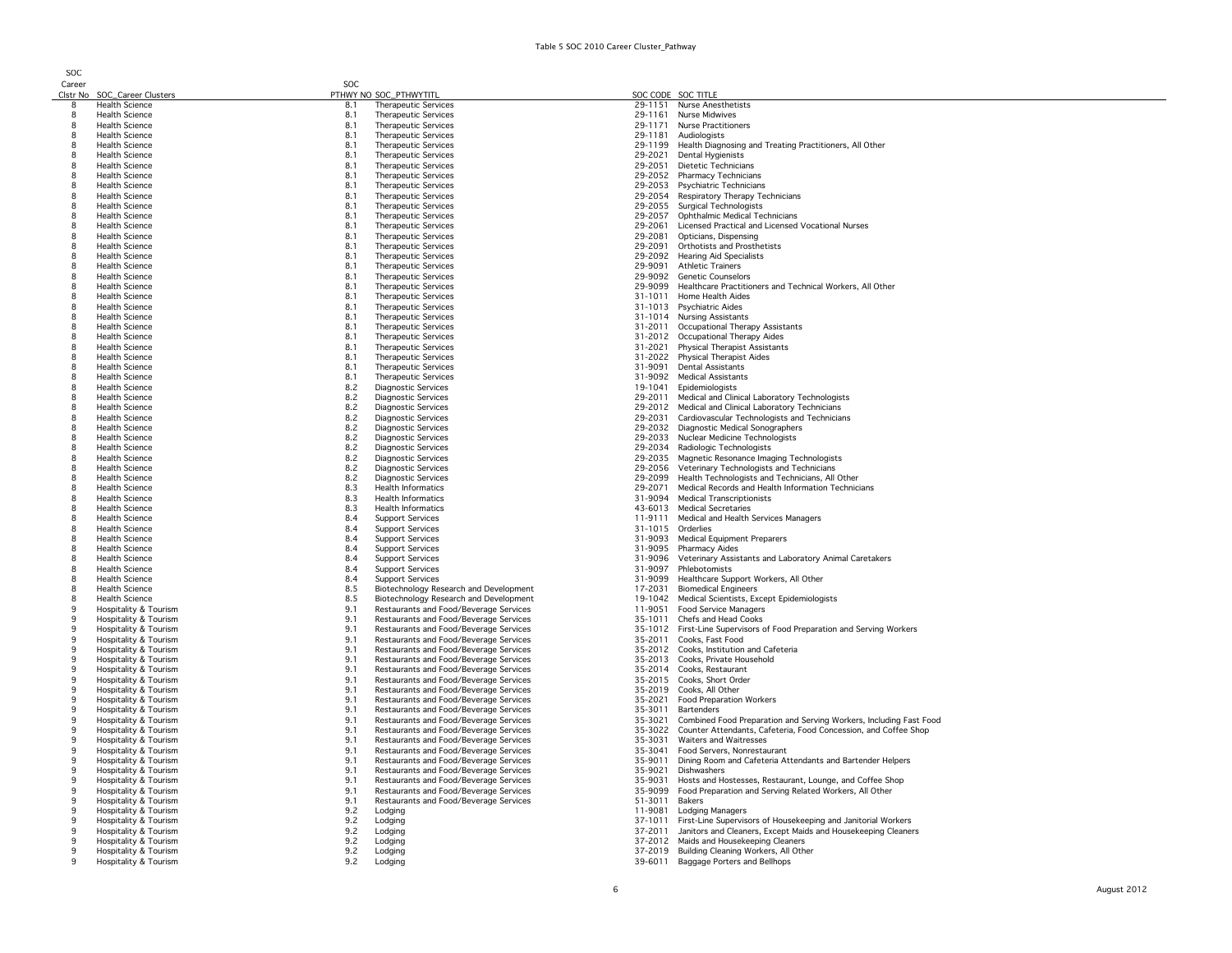| Career   |                              | SOC |                                        |                   |                                                                        |
|----------|------------------------------|-----|----------------------------------------|-------------------|------------------------------------------------------------------------|
|          | Clstr No SOC_Career Clusters |     | PTHWY NO SOC_PTHWYTITL                 |                   | SOC CODE SOC TITLE                                                     |
| 8        | <b>Health Science</b>        | 8.1 | Therapeutic Services                   |                   | 29-1151 Nurse Anesthetists                                             |
| 8        | <b>Health Science</b>        |     |                                        |                   | 29-1161 Nurse Midwives                                                 |
|          |                              | 8.1 | Therapeutic Services                   |                   |                                                                        |
| 8        | <b>Health Science</b>        | 8.1 | <b>Therapeutic Services</b>            |                   | 29-1171 Nurse Practitioners                                            |
| 8        | <b>Health Science</b>        | 8.1 | <b>Therapeutic Services</b>            |                   | 29-1181 Audiologists                                                   |
| 8        | <b>Health Science</b>        | 8.1 | <b>Therapeutic Services</b>            |                   | 29-1199 Health Diagnosing and Treating Practitioners, All Other        |
| 8        | <b>Health Science</b>        | 8.1 | Therapeutic Services                   |                   | 29-2021 Dental Hygienists                                              |
|          |                              |     |                                        |                   |                                                                        |
| 8        | <b>Health Science</b>        | 8.1 | <b>Therapeutic Services</b>            |                   | 29-2051 Dietetic Technicians                                           |
| 8        | <b>Health Science</b>        | 8.1 | <b>Therapeutic Services</b>            |                   | 29-2052 Pharmacy Technicians                                           |
| 8        | <b>Health Science</b>        | 8.1 | <b>Therapeutic Services</b>            |                   | 29-2053 Psychiatric Technicians                                        |
| 8        | <b>Health Science</b>        | 8.1 | <b>Therapeutic Services</b>            |                   | 29-2054 Respiratory Therapy Technicians                                |
| 8        | <b>Health Science</b>        | 8.1 | <b>Therapeutic Services</b>            |                   | 29-2055 Surgical Technologists                                         |
|          |                              |     |                                        |                   |                                                                        |
| 8        | <b>Health Science</b>        | 8.1 | <b>Therapeutic Services</b>            |                   | 29-2057 Ophthalmic Medical Technicians                                 |
|          | <b>Health Science</b>        | 8.1 | <b>Therapeutic Services</b>            |                   | 29-2061 Licensed Practical and Licensed Vocational Nurses              |
| 8        | <b>Health Science</b>        | 8.1 | <b>Therapeutic Services</b>            | 29-2081           | Opticians, Dispensing                                                  |
| 8        | Health Science               | 8.1 | Therapeutic Services                   | 29-2091           | Orthotists and Prosthetists                                            |
| 8        | <b>Health Science</b>        | 8.1 | <b>Therapeutic Services</b>            |                   | 29-2092 Hearing Aid Specialists                                        |
|          |                              |     |                                        |                   |                                                                        |
| 8        | <b>Health Science</b>        | 8.1 | <b>Therapeutic Services</b>            | 29-9091           | <b>Athletic Trainers</b>                                               |
| 8        | <b>Health Science</b>        | 8.1 | <b>Therapeutic Services</b>            | 29-9092           | <b>Genetic Counselors</b>                                              |
| 8        | Health Science               | 8.1 | Therapeutic Services                   |                   | 29-9099 Healthcare Practitioners and Technical Workers, All Other      |
| 8        | <b>Health Science</b>        | 8.1 | Therapeutic Services                   |                   | 31-1011 Home Health Aides                                              |
| 8        | <b>Health Science</b>        | 8.1 | <b>Therapeutic Services</b>            |                   | 31-1013 Psychiatric Aides                                              |
| 8        |                              |     | <b>Therapeutic Services</b>            |                   | 31-1014 Nursing Assistants                                             |
|          | <b>Health Science</b>        | 8.1 |                                        |                   |                                                                        |
| 8        | <b>Health Science</b>        | 8.1 | Therapeutic Services                   |                   | 31-2011 Occupational Therapy Assistants                                |
| 8        | <b>Health Science</b>        | 8.1 | Therapeutic Services                   |                   | 31-2012 Occupational Therapy Aides                                     |
| 8        | <b>Health Science</b>        | 8.1 | Therapeutic Services                   | 31-2021           | <b>Physical Therapist Assistants</b>                                   |
| 8        | <b>Health Science</b>        | 8.1 | Therapeutic Services                   |                   | 31-2022 Physical Therapist Aides                                       |
| 8        | <b>Health Science</b>        | 8.1 | <b>Therapeutic Services</b>            | 31-9091           | <b>Dental Assistants</b>                                               |
|          |                              |     |                                        |                   |                                                                        |
| 8        | <b>Health Science</b>        | 8.1 | <b>Therapeutic Services</b>            |                   | 31-9092 Medical Assistants                                             |
| 8        | <b>Health Science</b>        | 8.2 | Diagnostic Services                    |                   | 19-1041 Epidemiologists                                                |
| 8        | <b>Health Science</b>        | 8.2 | Diagnostic Services                    |                   | 29-2011 Medical and Clinical Laboratory Technologists                  |
| 8        | <b>Health Science</b>        | 8.2 | <b>Diagnostic Services</b>             |                   | 29-2012 Medical and Clinical Laboratory Technicians                    |
|          | <b>Health Science</b>        | 8.2 | Diagnostic Services                    |                   | 29-2031 Cardiovascular Technologists and Technicians                   |
| 8        |                              | 8.2 | <b>Diagnostic Services</b>             |                   | 29-2032 Diagnostic Medical Sonographers                                |
|          | <b>Health Science</b>        |     |                                        |                   |                                                                        |
| 8        | <b>Health Science</b>        | 8.2 | Diagnostic Services                    |                   | 29-2033 Nuclear Medicine Technologists                                 |
| 8        | <b>Health Science</b>        | 8.2 | <b>Diagnostic Services</b>             |                   | 29-2034 Radiologic Technologists                                       |
|          | <b>Health Science</b>        | 8.2 | <b>Diagnostic Services</b>             | 29-2035           | Magnetic Resonance Imaging Technologists                               |
| 8        | <b>Health Science</b>        | 8.2 | <b>Diagnostic Services</b>             |                   | 29-2056 Veterinary Technologists and Technicians                       |
| 8        | <b>Health Science</b>        | 8.2 | Diagnostic Services                    |                   | 29-2099 Health Technologists and Technicians, All Other                |
| 8        |                              |     | <b>Health Informatics</b>              |                   | 29-2071 Medical Records and Health Information Technicians             |
|          | <b>Health Science</b>        | 8.3 |                                        |                   |                                                                        |
| 8        | <b>Health Science</b>        | 8.3 | <b>Health Informatics</b>              |                   | 31-9094 Medical Transcriptionists                                      |
| 8        | <b>Health Science</b>        | 8.3 | <b>Health Informatics</b>              |                   | 43-6013 Medical Secretaries                                            |
| 8        | <b>Health Science</b>        | 8.4 | <b>Support Services</b>                |                   | 11-9111 Medical and Health Services Managers                           |
| 8        | <b>Health Science</b>        | 8.4 | <b>Support Services</b>                | 31-1015 Orderlies |                                                                        |
| 8        | <b>Health Science</b>        | 8.4 | <b>Support Services</b>                |                   | 31-9093 Medical Equipment Preparers                                    |
| 8        | <b>Health Science</b>        | 8.4 | <b>Support Services</b>                |                   | 31-9095 Pharmacy Aides                                                 |
| 8        | <b>Health Science</b>        | 8.4 | <b>Support Services</b>                | 31-9096           | Veterinary Assistants and Laboratory Animal Caretakers                 |
|          |                              |     |                                        |                   |                                                                        |
| 8        | <b>Health Science</b>        | 8.4 | <b>Support Services</b>                | 31-9097           | Phlebotomists                                                          |
| 8        | <b>Health Science</b>        | 8.4 | <b>Support Services</b>                | 31-9099           | Healthcare Support Workers, All Other                                  |
| 8        | <b>Health Science</b>        | 8.5 | Biotechnology Research and Development |                   | 17-2031 Biomedical Engineers                                           |
| 8        | <b>Health Science</b>        | 8.5 | Biotechnology Research and Development | 19-1042           | Medical Scientists, Except Epidemiologists                             |
| q        | Hospitality & Tourism        | 9.1 | Restaurants and Food/Beverage Services |                   | 11-9051 Food Service Managers                                          |
| <b>Q</b> |                              |     |                                        |                   |                                                                        |
|          | Hospitality & Tourism        | 9.1 | Restaurants and Food/Beverage Services |                   | 35-1011 Chefs and Head Cooks                                           |
| q        | Hospitality & Tourism        | 9.1 | Restaurants and Food/Beverage Services |                   | 35-1012 First-Line Supervisors of Food Preparation and Serving Workers |
|          | Hospitality & Tourism        | 9.1 | Restaurants and Food/Beverage Services |                   | 35-2011 Cooks, Fast Food                                               |
|          | Hospitality & Tourism        | 9.1 | Restaurants and Food/Beverage Services |                   | 35-2012 Cooks, Institution and Cafeteria                               |
| 9        | Hospitality & Tourism        | 9.1 | Restaurants and Food/Beverage Services |                   | 35-2013 Cooks, Private Household                                       |
|          | Hospitality & Tourism        | 9.1 | Restaurants and Food/Beverage Services |                   | 35-2014 Cooks, Restaurant                                              |
| q        | Hospitality & Tourism        | 9.1 | Restaurants and Food/Beverage Services |                   | 35-2015 Cooks, Short Order                                             |
|          |                              |     |                                        |                   |                                                                        |
| q        | Hospitality & Tourism        | 9.1 | Restaurants and Food/Beverage Services |                   | 35-2019 Cooks, All Other                                               |
|          | Hospitality & Tourism        | 9.1 | Restaurants and Food/Beverage Services |                   | 35-2021 Food Preparation Workers                                       |
| q        | Hospitality & Tourism        | 9.1 | Restaurants and Food/Beverage Services |                   | 35-3011 Bartenders                                                     |
| q        | Hospitality & Tourism        | 9.1 | Restaurants and Food/Beverage Services | 35-3021           | Combined Food Preparation and Serving Workers, Including Fast Food     |
| 9        | Hospitality & Tourism        | 9.1 | Restaurants and Food/Beverage Services | 35-3022           | Counter Attendants, Cafeteria, Food Concession, and Coffee Shop        |
| 9        | Hospitality & Tourism        | 9.1 | Restaurants and Food/Beverage Services |                   | Waiters and Waitresses                                                 |
|          |                              |     |                                        | 35-3031           |                                                                        |
|          | Hospitality & Tourism        | 9.1 | Restaurants and Food/Beverage Services | 35-3041           | Food Servers, Nonrestaurant                                            |
| q        | Hospitality & Tourism        | 9.1 | Restaurants and Food/Beverage Services | 35-9011           | Dining Room and Cafeteria Attendants and Bartender Helpers             |
| q        | Hospitality & Tourism        | 9.1 | Restaurants and Food/Beverage Services | 35-9021           | Dishwashers                                                            |
| q        | Hospitality & Tourism        | 9.1 | Restaurants and Food/Beverage Services | 35-9031           | Hosts and Hostesses, Restaurant, Lounge, and Coffee Shop               |
|          | Hospitality & Tourism        | 9.1 | Restaurants and Food/Beverage Services | 35-9099           | Food Preparation and Serving Related Workers, All Other                |
|          |                              |     |                                        |                   |                                                                        |
| 9        | Hospitality & Tourism        | 9.1 | Restaurants and Food/Beverage Services | 51-3011           | Bakers                                                                 |
| q        | Hospitality & Tourism        | 9.2 | Lodging                                | 11-9081           | <b>Lodging Managers</b>                                                |
| q        | Hospitality & Tourism        | 9.2 | Lodging                                | 37-1011           | First-Line Supervisors of Housekeeping and Janitorial Workers          |
|          | Hospitality & Tourism        | 9.2 | Lodging                                | 37-2011           | Janitors and Cleaners, Except Maids and Housekeeping Cleaners          |
|          | Hospitality & Tourism        | 9.2 | Lodging                                | 37-2012           | Maids and Housekeeping Cleaners                                        |
| q        |                              |     |                                        |                   |                                                                        |
|          | Hospitality & Tourism        | 9.2 | Lodging                                |                   | 37-2019 Building Cleaning Workers, All Other                           |
| q        | Hospitality & Tourism        | 9.2 | Lodging                                |                   | 39-6011 Baggage Porters and Bellhops                                   |
|          |                              |     |                                        |                   |                                                                        |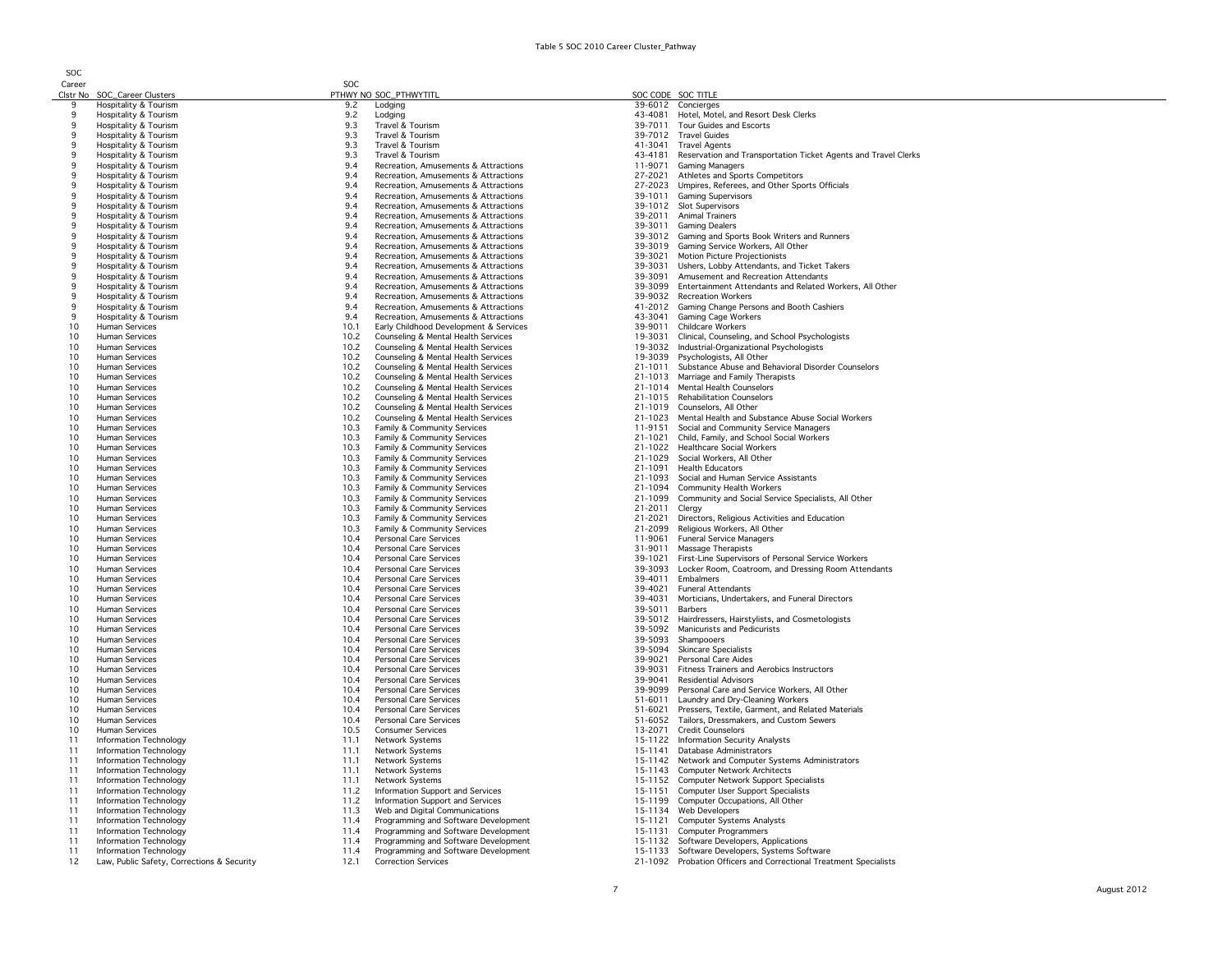SOC

Career<br>Clstr No SOC\_Career Clusters<br>Hospitality & Tourism SOC PTHWY NO SOC\_PTHWYTITL<br>
9.2 Lodging 39-6012 Concierges 9 Hospitality & Tourism 9.2 Lodging 39-6012 Concierges 9 Hospitality & Tourism entity and the state of the Samuel of the Motel, Motel, Motel, Motel, Motel, Motel, Motel, Motel, Motel, Motel, Motel, Motel, Motel, Motel, Motel, Motel, Motel, Motel, Motel, Motel, Motel, Motel, Mo e and the matter of the Tourism of the Tourism of the State of Tourism and State of the State of the State of the State of the State of the State of the State of the State of the State of the State of the State of the Stat 9. Hospitality & Tourism 9 Hospitality & Tourism 9.3 Travel & Tourism 41-3041 Travel Agents Hospitality & Tourism 19.3 Travel & Tourism 9.3 Travel & Tourism 43-4181 Reservation and Transportation Ticket Agents and Travel Clerks<br>11-9071 Gaming Managers 45 Agents and Travel Clerks 9 Hospitality & Tourism 19.4 Recreation, Amusements & Attractions 11-9071 Games 11-9071 Games 11-9071 Games 1<br>9.4 Recreation. Amusements & Attractions 11-9071 Games 11-9071 Games 12-9071 Games 12-9071 Games 12-9071 Games 9 Hospitality & Tourism 9.4 Recreation, Amusements & Attractions 27-2021 Athletes and Sports Competitors 9 Hospitality & Tourism 
9.4 Recreation, Amusements & Attractions 27-2023 Umpires, Referees, and Other Sports Officials<br>9.4 Recreation. Amusements & Attractions 39-1011 Gaming Supervisors 9 Hospitality & Tourism 9.4 Recreation, Amusements & Attractions 39-1011 Gaming Supervisors 9 Hospitality & Tourism 9.4 Recreation, Amusements & Attractions 39-1012 Slot Supervisors 9 Hospitality & Tourism 9.4 Recreation, Amusements & Attractions 39-2011 Animal Trainers Prospitality & Tourism Francisco Communications 3.4 Recreation, Amusements & Attractions 30-3011 Gaming Dealers 30-4 Recreation Amusements & Attractions 30-4 Recreations 30-4 Recreations 30-4 Recreations 30-4 Recreations 3 9 Hospitality & Tourism 9.4 Recreation, Amusements & Attractions 39-3012 Gaming and Sports Book Writers and Runners<br>9.4 Recreation, Amusements & Attractions 39-3012 Gaming and Sports Book Writers and Runners<br>9.4 Recreation 9 Hospitality & Tourism 9.4 Recreation, Amusements & Attractions 39-3019 Gaming Service Workers, All Other 9 Hospitality & Tourism 9.4 Recreation, Amusements & Attractions 39-3021 Motion Picture Projectionists 9 Hospitality & Tourism 17 Collect Takers 19.4 Recreation, Amusements & Attractions 39-3031 Ushers, Lobby Attendants, and Ticket Takers 39-3081 Hospitality & Tourism 17 Collect Takers 39-3091 Amusement and Recreation Atten 9 Hospitality & Tourism 9.4 Recreation, Amusements & Attractions 39-3091 Amusement and Recreation Attendants 9 Hospitality & Tourism 19.4 Recreation, Amusements & Attractions 2009 Entertainment Attendants and Related Workers, All Other<br>9.4 Recreation, Amusements & Attractions 39-9032 Recreation Workers 2009 Entertainment Attendan 9 Hospitality & Tourism 19.4 Recreation, Amusements & Attractions 39-9032 Recreation Amusements & Attractions 39-9032 Recreation Amusements & Attractions 39-9032 Recreation Amusements & Attractions 9 Hospitality & Tourism 9.4 Recreation, Amusements & Attractions 41-2012 Gaming Change Persons and Booth Cashiers 9 Hospitality & Tourism example and the Superior of Amusements & Attractions and the Manusian and Amusements & Attractions and Amusements & Attractions and Amusements & Attractions and Amusement & Services and Amusement & 10 Human Services 10.1 Early Childhood Development & Services<br>10 Human Services 39-901 Counseling & Mental Health Services 10 Human Services 10.2 Counseling & Mental Health Services 19-3031 Clinical, Counseling, and School Psychologists<br>10.2 Counseling & Mental Health Services 19-3032 Industrial-Organizational Psychologists 10.2 Counseling & Mental Health Services 19-3032 Industrial-Organizational Psychologists<br>
10.2 Counseling & Mental Health Services 19-3032 Industrial-Organizational Psychologists<br>
10.2 Counseling & Mental Health Services 1 10 Human Services 10.2 Counseling & Mental Health Services<br>10.2 Counseling & Mental Health Services<br>10.2 Counseling & Mental Health Services 10 Human Services 20 10.2 Counseling & Mental Health Services 21-1011 Substance Abuse and Behavioral Disorder Counselors<br>10.2 Counseling & Mental Health Services 21-1013 Marriage and Family Therapists 10 Human Services en and the state 10.2 Counseling & Mental Health Services 21-1013 Marriage and Family Therapists<br>10 Human Services en and the state 10.2 Counseling & Mental Health Services 21-1014 Mental Health Counselor 10 10 Human Services 10.2 Counseling & Mental Health Services 21-1014 Mental Health Counselors<br>10.2 Counseling & Mental Health Services 21-1015 Rehabilitation Counselors 10.2 Counseling & Mental Health Services 21-1015 Rehabilitation Counsel<br>
10.2 Counseling & Mental Health Services 21-1015 Rehabilitation Counsel<br>
21-1019 Counselors. All Other 10.2 Counseling & Mental Health Services<br>10.2 Counseling & Mental Health Services<br>21.2 Counseling & Mental Health Services 10.2 Counseling & Mental Health Services 21-1023 Mental Health and Substance Abuse Social Workers<br>
Human Services 21-1023 Mental Health Services 21-1023 Mental Health and Substance Abuse Social Workers<br>
Human Services 21-9 10 11-9151 Social and Community Services 10.3 Family & Community Services 11-9151 Social and Community Service Managers<br>10.3 Family & Community Services 11-921 21-1021 Child, Family, and School Social Workers 10 Human Services 20 10.3 Family & Community Services 21-1021 Child, Family, and School Social Workers 21-1021<br>10.3 Family & Community Services 21-1022 Healthcare Social Workers 2014 10 11 Human Services 10.3 Family & Community Services 21-1022 Healthcare Social Workers<br>10.3 Family & Community Services 21-1029 Social Workers. All Other 10.3 Family & Community Services 21-1029 Social Workers, All Other<br>10.3 Family & Community Services 21-1091 Health Fducators 10 Human Services 10.3 Family & Community Services 10.3 Family & Community Services 21-1091 Health Educators 2014 10 Human Services 10.3 Family & Community Services 10.3 Family & Community Services 21-1093 Social and Human Service Assistants<br>10.3 Family & Community Services 21-1093 Social and Human Services 10.3 Family & Community Ser 10 Human Services 20 10 10.3 Family & Community Services 21-1094 Community Health Workers<br>10.3 Family & Community Services 21-1099 Community and Social Services 10 11 Human Services 10.3 Family & Community Services 21-1099 Community and Social Service Specialists, All Other<br>10.3 Family & Community Services 21-2011 Clergy 10 Human Services 10.3 Family & Community Services 10.3 Family & Community Services 21-2011 Clergy 21-2012 10.3 Family & Community Services 10.3 Family & Community Services 21-2021 Directors, Religious Activities and Education<br>10.3 Family & Community Services 21-2099 Religious Workers, All Other 10 10 Human Services 10.3 Family & Community Services 21-2099 Religious Workers, All Other<br>10.4 Personal Care Services 11.9061 Funeral Services 11.9061 Funeral Services 10 Human Services (10.4 Personal Care Services 11-9061 Funeral Service Managers)<br>10.4 Personal Care Services (11.4 Personal Care Services 11-9061 Funeral Services 11-9061 Funeral Service Managers 10 Human Services (10.4 Personal Care Services 10.4 Personal Care Services 11.4 Personal Care Services 10.4 Personal Care Services 10.4 Personal Care Services 10.1 Passage Therapists 10.4 Personal Care Services 10.1 Since 10 10 Human Services 10.4 Personal Care Services 10.4 Personal Care Services 10.4 Personal Care Services 10.4 Personal Care Services 10.4 Personal Care Services 39-1021 First-Line Supervisors of Personal Service Workers 10 10.4 Personal Care Services 39-3093 Locker Room, Coatroom, and Dressing Room Attendants<br>
10.4 Personal Care Services 39-3093 Locker Room, Coatroom, and Dressing Room Attendants<br>
10.4 Personal Care Services 39-4011 Embalmer 10 Human Services 10.4 Personal Care Services<br>10.4 Personal Care Services 10.4 Personal Care Services 10.4 Personal Care Services 10.4 Personal Care Services 39-4021 Funeral Attendants<br>
Human Services 39-4021 Funeral Attendants<br>
Human Services 10.4 Personal Care Services 39-4021 Morticians Undertal 10 Human Services en Services 10.4 Personal Care Services 39-4031 Morticians, Undertakers, and Funeral Directors<br>10.4 Personal Care Services 39-5011 Barbers 39-5011 Barbers and Funeral Directors 10.4 Personal Care Services<br>10.4 Personal Care Services 10.4 Personal Care Services 10 Human Services 20.4 Personal Care Services 10.4 Personal Care Services 20.5 Personal Care Services 20.5012 Hairdressers, Hairstylists, and Cosmetologists<br>10.4 Personal Care Services 20.6 20.7 Personal Care Services 20.7 Human Services The Contract Care Services 10.4 Personal Care Services and Services 39-5092 Manicurists and Pedicurists and Pedicurists and Pedicurists and Pedicurists and Pedicurists and Pedicurists and Pedicurists and Ped 10 Human Services (10.4 Personal Care Services 10.4 Personal Care Services 10.4 Personal Care Services 10.4 Personal Care Services 10.4 Personal Care Services 10.4 Personal Care Services 10.4 Personal Care Services 10.4 Pe 10 10 Human Services 10.4 Personal Care Services 10.4 Personal Care Services 10.4 Personal Care Autoscope 10.4<br>10.4 Personal Care Autoscope 10.4 Personal Care Services 10.4 Personal Care Autoscope 10.4 Personal Care Aides 10 Human Services (10.4 Personal Care Services 10.4 Personal Care Services 10.4 Personal Care Aides 10.4 Personal Care Aides 10.4 Personal Care Aides 10.4 Personal Care Aides 10.4 Personal Care Services 10.4 Personal Care 10 10 Human Services 10.4 Personal Care Services 10.4 Personal Care Services 39-9031 Fitness Trainers and Aerobics Instructors 10.4 Personal Care Services 10.4 Personal Care Services 39-9041 Residential Advisors 10.4 Personal Care Services 10.4 Personal Care Services 10.4 Personal Care Services 10.4 Personal Care Service<br>10.4 Personal Care Services 10.4 Personal Care Services 10.9 Personal Care Services 10.9 Personal Care and Se 10 Human Services 2012 10.4 Personal Care Services 39-9099 Personal Care and Service Workers, All Other<br>10.4 Personal Care Services 31-6011 Laundry and Dry-Cleaning Workers 10.4 Personal Care Services 51-6011 Laundry and Dry-Cleaning Workers 51-6011 Laundry and Dry-Cleaning Workers<br>
10.4 Personal Care Services 51-6021 Presents Taryla Carment and Pel 10 Human Services 20.4 Personal Care Services 20.4 Personal Care Services 20.4 Personal Care Services 20.4 Personal Care Services 20.4 Personal Care Services 20.4 Personal Care Services 20.4 Personal Care Services 20.4 Per 10 Human Services 20.4 Personal Care Services 10.4 Personal Care Services 51-6052 Tailors, Dressmakers, and Custom Sewers<br>10.5 Consumer Services 10.5 Services 10.5 Services 13-2071 Credit Counselors 10 Human Services 10.5 Consumer Services 10.5 Consumer Services 13-2071 Credit Counselors<br>11 Information Technology 11.1 Network Systems 11.1 Network Systems 15-1122 Information Securi 11.1 Network Systems 11.1 Network Systems 15-1122 Information Technology<br>
11.1 Network Systems 15-1122 Information Security Analysts<br>
160 Information Technology 15-1141 Database Administrators 11 Information Technology 11.1 Network Systems 15-1141 Database Administrators 11 Information Technology **11.1 Network Systems** 11.1 Network Systems 15-1142 Network and Computer Systems Administrators<br>11 Information Technology 15-1143 Computer Network Architects 11 Information Technology 11.1 Network Systems 11.1 Network Systems 15-1143 Computer Network Architects<br>11 Information Technology 15-1152 Computer Network Systems 11.1 Network Systems 15-1152 Computer Network Support Sp 11 Information Technology 11.1 Network Systems 11.1 Network Systems 15-1152 Computer Network Support Specialists<br>11 Information Technology 15-1151 Computer User Specialists 11.2 Information Support and Services 16 15-1151 11 Information Technology 11.2 Information Support and Services 15-1151 Computer User Support Specialists 11 Information Technology 11.2 Information Support and Services 15-1199 Computer Occupations, All Other<br>11 Information Technology 15-11.3 Web and Digital Communications 15-1134 Web Developers Information Technology 11.3 Web and Digital Communications 15-1134 Web Developers<br>11.4 Programming and Software Development 15-1121 Computer Systems Analysts 11 Information Technology 11.4 Programming and Software Development 15-1121 Computer Systems Analysts<br>11.4 Programming and Software Development 15-1121 Computer Systems Analysts and Software Development 15-1131 Computer Pr 11 11 Information Technology 11.4 Programming and Software Development<br>11 Information Technology 15-1131 Computer Programming and Software Development 11 Information Technology 11.4 Programming and Software Development 15-1132 Software Developers, Applications<br>11.4 Programming and Software Development 15-1133 Software Developers, Systems Software Developers, Systems Sof Information Technology **11.4** Programming and Software Development 15-1133 Software Developers, Systems Software<br>Law, Public Safety, Corrections & Security 12.1 Correction Services 21-1092 Probation Officers and Correction 12 Law, Public Safety, Corrections & Security 12.1 Correction Services 21-1092 Probation Officers and Correctional Treatment Specialists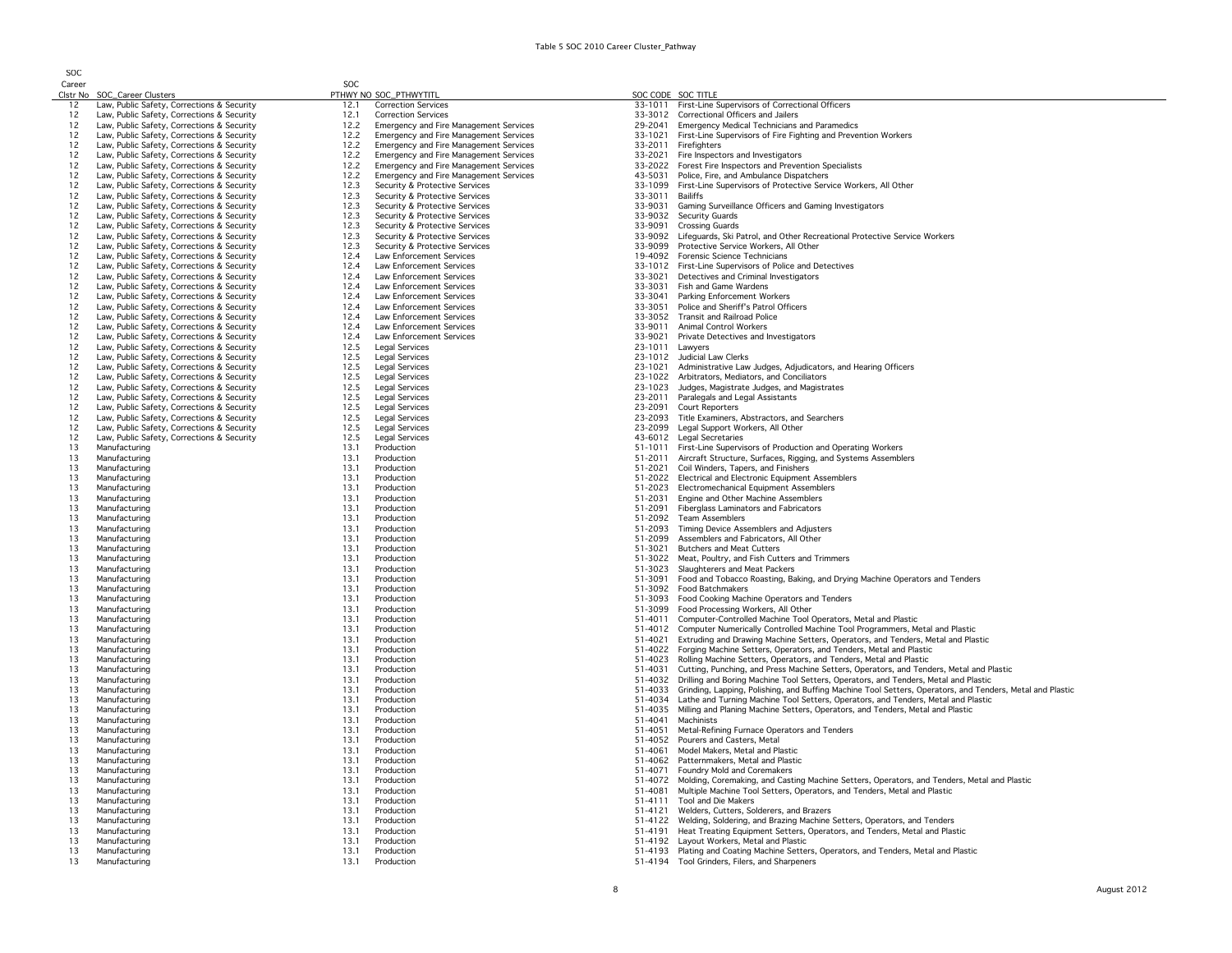| しいこ<br>Career |                                                                                          | SOC          |                                                                                                |                    |                                                                                                                                                  |
|---------------|------------------------------------------------------------------------------------------|--------------|------------------------------------------------------------------------------------------------|--------------------|--------------------------------------------------------------------------------------------------------------------------------------------------|
|               | Clstr No SOC_Career Clusters                                                             |              | PTHWY NO SOC_PTHWYTITL                                                                         |                    | SOC CODE SOC TITLE                                                                                                                               |
| 12<br>12      | Law, Public Safety, Corrections & Security<br>Law, Public Safety, Corrections & Security | 12.1<br>12.1 | <b>Correction Services</b><br><b>Correction Services</b>                                       |                    | 33-1011 First-Line Supervisors of Correctional Officers<br>33-3012 Correctional Officers and Jailers                                             |
| 12            | Law, Public Safety, Corrections & Security                                               | 12.2         | <b>Emergency and Fire Management Services</b>                                                  | 29-2041            | <b>Emergency Medical Technicians and Paramedics</b>                                                                                              |
| 12            | Law, Public Safety, Corrections & Security                                               | 12.2         | Emergency and Fire Management Services                                                         | 33-1021            | First-Line Supervisors of Fire Fighting and Prevention Workers                                                                                   |
| 12            | Law, Public Safety, Corrections & Security                                               | 12.2         | Emergency and Fire Management Services                                                         | 33-2011            | Firefighters                                                                                                                                     |
| 12            | Law, Public Safety, Corrections & Security                                               | 12.2         | Emergency and Fire Management Services                                                         | 33-2021            | Fire Inspectors and Investigators                                                                                                                |
| 12<br>12      | Law, Public Safety, Corrections & Security<br>Law, Public Safety, Corrections & Security | 12.2<br>12.2 | <b>Emergency and Fire Management Services</b><br><b>Emergency and Fire Management Services</b> | 33-2022<br>43-5031 | Forest Fire Inspectors and Prevention Specialists<br>Police, Fire, and Ambulance Dispatchers                                                     |
| 12            | Law, Public Safety, Corrections & Security                                               | 12.3         | Security & Protective Services                                                                 | 33-1099            | First-Line Supervisors of Protective Service Workers, All Other                                                                                  |
| 12            | Law, Public Safety, Corrections & Security                                               | 12.3         | Security & Protective Services                                                                 | 33-3011            | Bailiffs                                                                                                                                         |
| 12            | Law, Public Safety, Corrections & Security                                               | 12.3         | Security & Protective Services                                                                 | 33-9031            | Gaming Surveillance Officers and Gaming Investigators                                                                                            |
| 12            | Law, Public Safety, Corrections & Security                                               | 12.3         | Security & Protective Services                                                                 |                    | 33-9032 Security Guards                                                                                                                          |
| 12            | Law, Public Safety, Corrections & Security                                               | 12.3         | Security & Protective Services                                                                 | 33-9091            | <b>Crossing Guards</b>                                                                                                                           |
| 12<br>12      | Law, Public Safety, Corrections & Security                                               | 12.3<br>12.3 | Security & Protective Services<br>Security & Protective Services                               | 33-9099            | 33-9092 Lifeguards, Ski Patrol, and Other Recreational Protective Service Workers<br>Protective Service Workers, All Other                       |
| 12            | Law, Public Safety, Corrections & Security<br>Law, Public Safety, Corrections & Security | 12.4         | Law Enforcement Services                                                                       |                    | 19-4092 Forensic Science Technicians                                                                                                             |
| 12            | Law, Public Safety, Corrections & Security                                               | 12.4         | <b>Law Enforcement Services</b>                                                                |                    | 33-1012 First-Line Supervisors of Police and Detectives                                                                                          |
| 12            | Law, Public Safety, Corrections & Security                                               | 12.4         | Law Enforcement Services                                                                       | 33-3021            | Detectives and Criminal Investigators                                                                                                            |
| 12            | Law, Public Safety, Corrections & Security                                               | 12.4         | Law Enforcement Services                                                                       | 33-3031            | Fish and Game Wardens                                                                                                                            |
| 12            | Law, Public Safety, Corrections & Security                                               | 12.4         | Law Enforcement Services                                                                       |                    | 33-3041 Parking Enforcement Workers                                                                                                              |
| 12<br>12      | Law, Public Safety, Corrections & Security<br>Law, Public Safety, Corrections & Security | 12.4<br>12.4 | <b>Law Enforcement Services</b><br>Law Enforcement Services                                    | 33-3051            | Police and Sheriff's Patrol Officers<br>33-3052 Transit and Railroad Police                                                                      |
| 12            | Law, Public Safety, Corrections & Security                                               | 12.4         | Law Enforcement Services                                                                       | 33-9011            | Animal Control Workers                                                                                                                           |
| 12            | Law, Public Safety, Corrections & Security                                               | 12.4         | Law Enforcement Services                                                                       |                    | 33-9021 Private Detectives and Investigators                                                                                                     |
| 12            | Law, Public Safety, Corrections & Security                                               | 12.5         | Legal Services                                                                                 | 23-1011            | Lawyers                                                                                                                                          |
| 12            | Law, Public Safety, Corrections & Security                                               | 12.5         | <b>Legal Services</b>                                                                          |                    | 23-1012 Judicial Law Clerks                                                                                                                      |
| 12            | Law, Public Safety, Corrections & Security                                               | 12.5         | <b>Legal Services</b>                                                                          | 23-1021            | Administrative Law Judges, Adjudicators, and Hearing Officers                                                                                    |
| 12            | Law, Public Safety, Corrections & Security                                               | 12.5         | <b>Legal Services</b><br><b>Legal Services</b>                                                 | 23-1022            | Arbitrators, Mediators, and Conciliators                                                                                                         |
| 12<br>12      | Law, Public Safety, Corrections & Security<br>Law, Public Safety, Corrections & Security | 12.5<br>12.5 | Legal Services                                                                                 | 23-1023            | Judges, Magistrate Judges, and Magistrates<br>23-2011 Paralegals and Legal Assistants                                                            |
| 12            | Law, Public Safety, Corrections & Security                                               | 12.5         | Legal Services                                                                                 |                    | 23-2091 Court Reporters                                                                                                                          |
| 12            | Law, Public Safety, Corrections & Security                                               | 12.5         | <b>Legal Services</b>                                                                          |                    | 23-2093 Title Examiners, Abstractors, and Searchers                                                                                              |
| 12            | Law, Public Safety, Corrections & Security                                               | 12.5         | Legal Services                                                                                 |                    | 23-2099 Legal Support Workers, All Other                                                                                                         |
| 12            | Law, Public Safety, Corrections & Security                                               | 12.5         | <b>Legal Services</b>                                                                          |                    | 43-6012 Legal Secretaries                                                                                                                        |
| 13<br>13      | Manufacturing<br>Manufacturing                                                           | 13.1<br>13.1 | Production<br>Production                                                                       |                    | 51-1011 First-Line Supervisors of Production and Operating Workers<br>51-2011 Aircraft Structure, Surfaces, Rigging, and Systems Assemblers      |
| 13            | Manufacturing                                                                            | 13.1         | Production                                                                                     |                    | 51-2021 Coil Winders, Tapers, and Finishers                                                                                                      |
| 13            | Manufacturing                                                                            | 13.1         | Production                                                                                     |                    | 51-2022 Electrical and Electronic Equipment Assemblers                                                                                           |
| 13            | Manufacturing                                                                            | 13.1         | Production                                                                                     |                    | 51-2023 Electromechanical Equipment Assemblers                                                                                                   |
| 13            | Manufacturing                                                                            | 13.1         | Production                                                                                     | 51-2031            | Engine and Other Machine Assemblers                                                                                                              |
| 13            | Manufacturing                                                                            | 13.1         | Production                                                                                     | 51-2091            | Fiberglass Laminators and Fabricators                                                                                                            |
| 13<br>13      | Manufacturing<br>Manufacturing                                                           | 13.1<br>13.1 | Production<br>Production                                                                       | 51-2092<br>51-2093 | <b>Team Assemblers</b><br>Timing Device Assemblers and Adjusters                                                                                 |
| 13            | Manufacturing                                                                            | 13.1         | Production                                                                                     | 51-2099            | Assemblers and Fabricators, All Other                                                                                                            |
| 13            | Manufacturing                                                                            | 13.1         | Production                                                                                     | 51-3021            | <b>Butchers and Meat Cutters</b>                                                                                                                 |
| 13            | Manufacturing                                                                            | 13.1         | Production                                                                                     | 51-3022            | Meat, Poultry, and Fish Cutters and Trimmers                                                                                                     |
| 13            | Manufacturing                                                                            | 13.1         | Production                                                                                     | 51-3023            | Slaughterers and Meat Packers                                                                                                                    |
| 13            | Manufacturing                                                                            | 13.1         | Production                                                                                     | 51-3091            | Food and Tobacco Roasting, Baking, and Drying Machine Operators and Tenders                                                                      |
| 13<br>13      | Manufacturing<br>Manufacturing                                                           | 13.1<br>13.1 | Production<br>Production                                                                       | 51-3093            | 51-3092 Food Batchmakers<br>Food Cooking Machine Operators and Tenders                                                                           |
| 13            | Manufacturing                                                                            | 13.1         | Production                                                                                     | 51-3099            | Food Processing Workers, All Other                                                                                                               |
| 13            | Manufacturing                                                                            | 13.1         | Production                                                                                     | 51-4011            | Computer-Controlled Machine Tool Operators, Metal and Plastic                                                                                    |
| 13            | Manufacturing                                                                            | 13.1         | Production                                                                                     |                    | 51-4012 Computer Numerically Controlled Machine Tool Programmers, Metal and Plastic                                                              |
| 13            | Manufacturing                                                                            | 13.1         | Production                                                                                     | 51-4021            | Extruding and Drawing Machine Setters, Operators, and Tenders, Metal and Plastic                                                                 |
| 13<br>13      | Manufacturing<br>Manufacturing                                                           | 13.1<br>13.1 | Production<br>Production                                                                       | 51-4023            | 51-4022 Forging Machine Setters, Operators, and Tenders, Metal and Plastic<br>Rolling Machine Setters, Operators, and Tenders, Metal and Plastic |
| 13            | Manufacturing                                                                            | 13.1         | Production                                                                                     | 51-4031            | Cutting, Punching, and Press Machine Setters, Operators, and Tenders, Metal and Plastic                                                          |
| 13            | Manufacturing                                                                            | 13.1         | Production                                                                                     | 51-4032            | Drilling and Boring Machine Tool Setters, Operators, and Tenders, Metal and Plastic                                                              |
| 13            | Manufacturing                                                                            | 13.1         | Production                                                                                     | 51-4033            | Grinding, Lapping, Polishing, and Buffing Machine Tool Setters, Operators, and Tenders, Metal and Plastic                                        |
| 13            | Manufacturing                                                                            | 13.1         | Production                                                                                     | 51-4034            | Lathe and Turning Machine Tool Setters, Operators, and Tenders, Metal and Plastic                                                                |
| 13            | Manufacturing                                                                            | 13.1         | Production                                                                                     | 51-4035            | Milling and Planing Machine Setters, Operators, and Tenders, Metal and Plastic                                                                   |
| 13            | Manufacturing                                                                            | 13.1         | Production                                                                                     | 51-4041            | Machinists                                                                                                                                       |
| 13<br>13      | Manufacturing<br>Manufacturing                                                           | 13.1<br>13.1 | Production<br>Production                                                                       | 51-4051<br>51-4052 | Metal-Refining Furnace Operators and Tenders<br>Pourers and Casters, Metal                                                                       |
| 13            | Manufacturing                                                                            | 13.1         | Production                                                                                     | 51-4061            | Model Makers, Metal and Plastic                                                                                                                  |
| 13            | Manufacturing                                                                            | 13.1         | Production                                                                                     | 51-4062            | Patternmakers, Metal and Plastic                                                                                                                 |
| 13            | Manufacturing                                                                            | 13.1         | Production                                                                                     | 51-4071            | Foundry Mold and Coremakers                                                                                                                      |
| 13            | Manufacturing                                                                            | 13.1         | Production                                                                                     | 51-4072            | Molding, Coremaking, and Casting Machine Setters, Operators, and Tenders, Metal and Plastic                                                      |
| 13            | Manufacturing                                                                            | 13.1         | Production                                                                                     | 51-4081            | Multiple Machine Tool Setters, Operators, and Tenders, Metal and Plastic                                                                         |
| 13<br>13      | Manufacturing<br>Manufacturing                                                           | 13.1<br>13.1 | Production<br>Production                                                                       | 51-4121            | 51-4111 Tool and Die Makers<br>Welders, Cutters, Solderers, and Brazers                                                                          |
| 13            | Manufacturing                                                                            | 13.1         | Production                                                                                     |                    | 51-4122 Welding, Soldering, and Brazing Machine Setters, Operators, and Tenders                                                                  |
| 13            | Manufacturing                                                                            | 13.1         | Production                                                                                     |                    | 51-4191 Heat Treating Equipment Setters, Operators, and Tenders, Metal and Plastic                                                               |
| 13            | Manufacturing                                                                            | 13.1         | Production                                                                                     |                    | 51-4192 Layout Workers, Metal and Plastic                                                                                                        |
| 13            | Manufacturing                                                                            | 13.1         | Production                                                                                     |                    | 51-4193 Plating and Coating Machine Setters, Operators, and Tenders, Metal and Plastic                                                           |
| 13            | Manufacturing                                                                            | 13.1         | Production                                                                                     |                    | 51-4194 Tool Grinders, Filers, and Sharpeners                                                                                                    |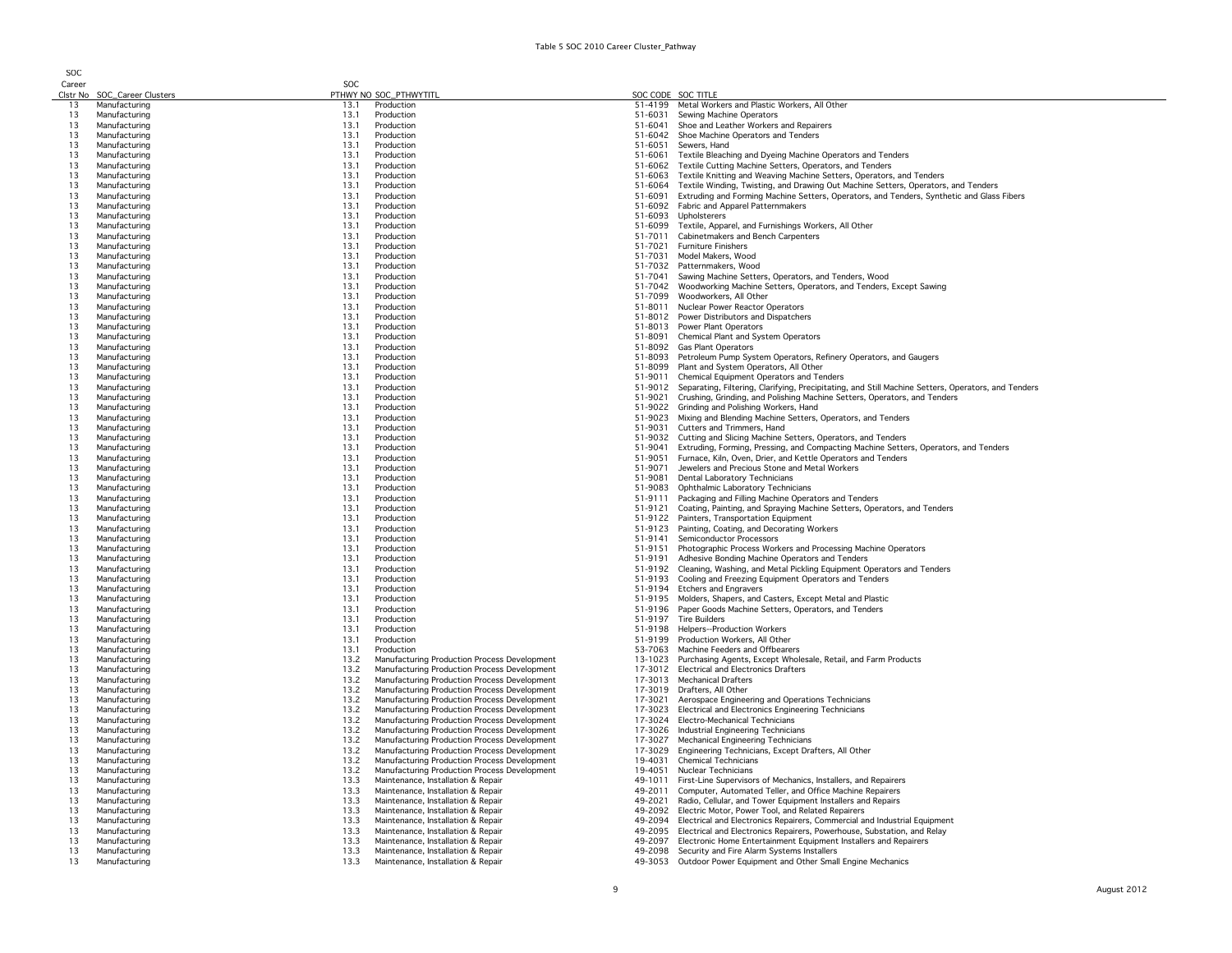| Career   |                                | SOC          |                                                                                              |                    |                                                                                                                                                                                 |
|----------|--------------------------------|--------------|----------------------------------------------------------------------------------------------|--------------------|---------------------------------------------------------------------------------------------------------------------------------------------------------------------------------|
|          | Clstr No SOC_Career Clusters   |              | PTHWY NO SOC_PTHWYTITL                                                                       |                    | SOC CODE SOC TITLE                                                                                                                                                              |
| 13       | Manufacturing                  | 13.1         | Production                                                                                   |                    | 51-4199 Metal Workers and Plastic Workers, All Other                                                                                                                            |
| 13<br>13 | Manufacturing<br>Manufacturing | 13.1<br>13.1 | Production<br>Production                                                                     | 51-6031<br>51-6041 | Sewing Machine Operators<br>Shoe and Leather Workers and Repairers                                                                                                              |
| 13       | Manufacturing                  | 13.1         | Production                                                                                   |                    | 51-6042 Shoe Machine Operators and Tenders                                                                                                                                      |
| 13       | Manufacturing                  | 13.1         | Production                                                                                   |                    | 51-6051 Sewers, Hand                                                                                                                                                            |
| 13       | Manufacturing                  | 13.1         | Production                                                                                   |                    | 51-6061 Textile Bleaching and Dyeing Machine Operators and Tenders                                                                                                              |
| 13       | Manufacturing                  | 13.1         | Production                                                                                   |                    | 51-6062 Textile Cutting Machine Setters, Operators, and Tenders                                                                                                                 |
| 13       | Manufacturing                  | 13.1         | Production                                                                                   | 51-6063            | Textile Knitting and Weaving Machine Setters, Operators, and Tenders                                                                                                            |
| 13<br>13 | Manufacturing<br>Manufacturing | 13.1<br>13.1 | Production<br>Production                                                                     | 51-6064<br>51-6091 | Textile Winding, Twisting, and Drawing Out Machine Setters, Operators, and Tenders<br>Extruding and Forming Machine Setters, Operators, and Tenders, Synthetic and Glass Fibers |
| 13       | Manufacturing                  | 13.1         | Production                                                                                   | 51-6092            | Fabric and Apparel Patternmakers                                                                                                                                                |
| 13       | Manufacturing                  | 13.1         | Production                                                                                   |                    | 51-6093 Upholsterers                                                                                                                                                            |
| 13       | Manufacturing                  | 13.1         | Production                                                                                   | 51-6099            | Textile, Apparel, and Furnishings Workers, All Other                                                                                                                            |
| 13       | Manufacturing                  | 13.1         | Production                                                                                   | 51-7011            | Cabinetmakers and Bench Carpenters                                                                                                                                              |
| 13<br>13 | Manufacturing<br>Manufacturing | 13.1<br>13.1 | Production<br>Production                                                                     | 51-7031            | 51-7021 Furniture Finishers<br>Model Makers, Wood                                                                                                                               |
| 13       | Manufacturing                  | 13.1         | Production                                                                                   |                    | 51-7032 Patternmakers, Wood                                                                                                                                                     |
| 13       | Manufacturing                  | 13.1         | Production                                                                                   | 51-7041            | Sawing Machine Setters, Operators, and Tenders, Wood                                                                                                                            |
| 13       | Manufacturing                  | 13.1         | Production                                                                                   |                    | 51-7042 Woodworking Machine Setters, Operators, and Tenders, Except Sawing                                                                                                      |
| 13       | Manufacturing                  | 13.1         | Production                                                                                   | 51-7099            | Woodworkers, All Other                                                                                                                                                          |
| 13       | Manufacturing                  | 13.1         | Production                                                                                   |                    | 51-8011 Nuclear Power Reactor Operators                                                                                                                                         |
| 13<br>13 | Manufacturing<br>Manufacturing | 13.1<br>13.1 | Production<br>Production                                                                     |                    | 51-8012 Power Distributors and Dispatchers<br>51-8013 Power Plant Operators                                                                                                     |
| 13       | Manufacturing                  | 13.1         | Production                                                                                   |                    | 51-8091 Chemical Plant and System Operators                                                                                                                                     |
| 13       | Manufacturing                  | 13.1         | Production                                                                                   |                    | 51-8092 Gas Plant Operators                                                                                                                                                     |
| 13       | Manufacturing                  | 13.1         | Production                                                                                   |                    | 51-8093 Petroleum Pump System Operators, Refinery Operators, and Gaugers                                                                                                        |
| 13       | Manufacturing                  | 131          | Production                                                                                   |                    | 51-8099 Plant and System Operators, All Other                                                                                                                                   |
| 13<br>13 | Manufacturing<br>Manufacturing | 13.1<br>13.1 | Production<br>Production                                                                     | 51-9011<br>51-9012 | Chemical Equipment Operators and Tenders<br>Separating, Filtering, Clarifying, Precipitating, and Still Machine Setters, Operators, and Tenders                                 |
| 13       | Manufacturing                  | 13.1         | Production                                                                                   | 51-9021            | Crushing, Grinding, and Polishing Machine Setters, Operators, and Tenders                                                                                                       |
| 13       | Manufacturing                  | 13.1         | Production                                                                                   | 51-9022            | Grinding and Polishing Workers, Hand                                                                                                                                            |
| 13       | Manufacturing                  | 13.1         | Production                                                                                   | 51-9023            | Mixing and Blending Machine Setters, Operators, and Tenders                                                                                                                     |
| 13       | Manufacturing                  | 13.1         | Production                                                                                   |                    | 51-9031 Cutters and Trimmers, Hand                                                                                                                                              |
| 13       | Manufacturing                  | 13.1         | Production                                                                                   |                    | 51-9032 Cutting and Slicing Machine Setters, Operators, and Tenders                                                                                                             |
| 13<br>13 | Manufacturing<br>Manufacturing | 13.1<br>13.1 | Production<br>Production                                                                     | 51-9041<br>51-9051 | Extruding, Forming, Pressing, and Compacting Machine Setters, Operators, and Tenders<br>Furnace, Kiln, Oven, Drier, and Kettle Operators and Tenders                            |
| 13       | Manufacturing                  | 13.1         | Production                                                                                   | 51-9071            | Jewelers and Precious Stone and Metal Workers                                                                                                                                   |
| 13       | Manufacturing                  | 13.1         | Production                                                                                   |                    | 51-9081 Dental Laboratory Technicians                                                                                                                                           |
| 13       | Manufacturing                  | 13.1         | Production                                                                                   |                    | 51-9083 Ophthalmic Laboratory Technicians                                                                                                                                       |
| 13       | Manufacturing                  | 13.1         | Production                                                                                   |                    | 51-9111 Packaging and Filling Machine Operators and Tenders                                                                                                                     |
| 13<br>13 | Manufacturing<br>Manufacturing | 13.1<br>131  | Production<br>Production                                                                     |                    | 51-9121 Coating, Painting, and Spraying Machine Setters, Operators, and Tenders<br>51-9122 Painters, Transportation Equipment                                                   |
| 13       | Manufacturing                  | 13.1         | Production                                                                                   |                    | 51-9123 Painting, Coating, and Decorating Workers                                                                                                                               |
| 13       | Manufacturing                  | 13.1         | Production                                                                                   |                    | 51-9141 Semiconductor Processors                                                                                                                                                |
| 13       | Manufacturing                  | 13.1         | Production                                                                                   |                    | 51-9151 Photographic Process Workers and Processing Machine Operators                                                                                                           |
| 13       | Manufacturing                  | 13.1         | Production                                                                                   | 51-9191            | Adhesive Bonding Machine Operators and Tenders                                                                                                                                  |
| 13<br>13 | Manufacturing<br>Manufacturing | 13.1<br>13.1 | Production<br>Production                                                                     |                    | 51-9192 Cleaning, Washing, and Metal Pickling Equipment Operators and Tenders<br>51-9193 Cooling and Freezing Equipment Operators and Tenders                                   |
| 13       | Manufacturing                  | 13.1         | Production                                                                                   |                    | 51-9194 Etchers and Engravers                                                                                                                                                   |
| 13       | Manufacturing                  | 13.1         | Production                                                                                   | 51-9195            | Molders, Shapers, and Casters, Except Metal and Plastic                                                                                                                         |
| 13       | Manufacturing                  | 13.1         | Production                                                                                   | 51-9196            | Paper Goods Machine Setters, Operators, and Tenders                                                                                                                             |
| 13       | Manufacturing                  | 13.1         | Production                                                                                   |                    | 51-9197 Tire Builders                                                                                                                                                           |
| 13<br>13 | Manufacturing<br>Manufacturing | 13.1<br>13.1 | Production<br>Production                                                                     |                    | 51-9198 Helpers--Production Workers<br>51-9199 Production Workers, All Other                                                                                                    |
| 13       | Manufacturing                  | 13.1         | Production                                                                                   |                    | 53-7063 Machine Feeders and Offbearers                                                                                                                                          |
| 13       | Manufacturing                  | 13.2         | Manufacturing Production Process Development                                                 |                    | 13-1023 Purchasing Agents, Except Wholesale, Retail, and Farm Products                                                                                                          |
| 13       | Manufacturing                  | 13.2         | Manufacturing Production Process Development                                                 |                    | 17-3012 Electrical and Electronics Drafters                                                                                                                                     |
| 13       | Manufacturing                  | 13.2         | Manufacturing Production Process Development                                                 |                    | 17-3013 Mechanical Drafters                                                                                                                                                     |
| 13       | Manufacturing                  | 13.2         | Manufacturing Production Process Development                                                 |                    | 17-3019 Drafters, All Other                                                                                                                                                     |
| 13<br>13 | Manufacturing<br>Manufacturing | 13.2<br>13.2 | Manufacturing Production Process Development<br>Manufacturing Production Process Development |                    | 17-3021 Aerospace Engineering and Operations Technicians<br>17-3023 Electrical and Electronics Engineering Technicians                                                          |
| 13       | Manufacturing                  | 13.2         | Manufacturing Production Process Development                                                 |                    | 17-3024 Electro-Mechanical Technicians                                                                                                                                          |
| 13       | Manufacturing                  | 13.2         | Manufacturing Production Process Development                                                 |                    | 17-3026 Industrial Engineering Technicians                                                                                                                                      |
| 13       | Manufacturing                  | 13.2         | Manufacturing Production Process Development                                                 |                    | 17-3027 Mechanical Engineering Technicians                                                                                                                                      |
| 13       | Manufacturing                  | 13.2<br>13.2 | Manufacturing Production Process Development                                                 |                    | 17-3029 Engineering Technicians, Except Drafters, All Other<br>Chemical Technicians                                                                                             |
| 13<br>13 | Manufacturing<br>Manufacturing | 132          | Manufacturing Production Process Development<br>Manufacturing Production Process Development | 19-4031<br>19-4051 | Nuclear Technicians                                                                                                                                                             |
| 13       | Manufacturing                  | 13.3         | Maintenance, Installation & Repair                                                           | 49-1011            | First-Line Supervisors of Mechanics, Installers, and Repairers                                                                                                                  |
| 13       | Manufacturing                  | 13.3         | Maintenance, Installation & Repair                                                           |                    | 49-2011 Computer, Automated Teller, and Office Machine Repairers                                                                                                                |
| 13       | Manufacturing                  | 13.3         | Maintenance, Installation & Repair                                                           | 49-2021            | Radio, Cellular, and Tower Equipment Installers and Repairs                                                                                                                     |
| 13       | Manufacturing                  | 13.3         | Maintenance, Installation & Repair                                                           |                    | 49-2092 Electric Motor, Power Tool, and Related Repairers                                                                                                                       |
| 13<br>13 | Manufacturing<br>Manufacturing | 13.3<br>13.3 | Maintenance, Installation & Repair<br>Maintenance, Installation & Repair                     |                    | 49-2094 Electrical and Electronics Repairers, Commercial and Industrial Equipment<br>49-2095 Electrical and Electronics Repairers, Powerhouse, Substation, and Relay            |
| 13       | Manufacturing                  | 13.3         | Maintenance, Installation & Repair                                                           |                    | 49-2097 Electronic Home Entertainment Equipment Installers and Repairers                                                                                                        |
| 13       | Manufacturing                  | 13.3         | Maintenance, Installation & Repair                                                           |                    | 49-2098 Security and Fire Alarm Systems Installers                                                                                                                              |
| 13       | Manufacturing                  | 13.3         | Maintenance, Installation & Repair                                                           |                    | 49-3053 Outdoor Power Equipment and Other Small Engine Mechanics                                                                                                                |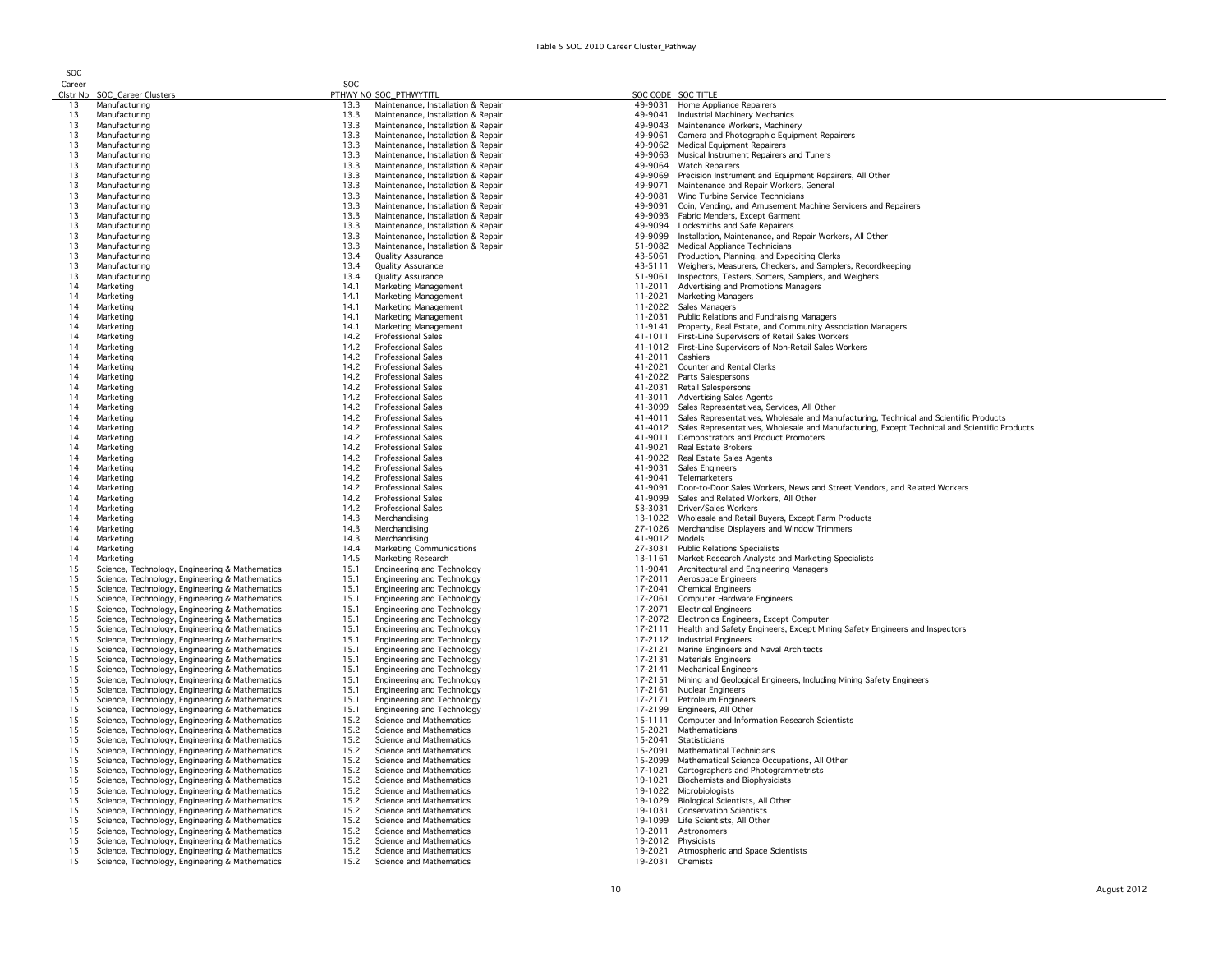| Career   |                                                                                                  | SOC          |                                                                          |                    |                                                                                                                                                                                               |
|----------|--------------------------------------------------------------------------------------------------|--------------|--------------------------------------------------------------------------|--------------------|-----------------------------------------------------------------------------------------------------------------------------------------------------------------------------------------------|
|          | Clstr No SOC_Career Clusters                                                                     |              | PTHWY NO SOC_PTHWYTITL                                                   |                    | SOC CODE SOC TITLE                                                                                                                                                                            |
| 13       | Manufacturing                                                                                    | 13.3         | Maintenance, Installation & Repair                                       |                    | 49-9031 Home Appliance Repairers                                                                                                                                                              |
| 13       | Manufacturing                                                                                    | 13.3         | Maintenance, Installation & Repair                                       |                    | 49-9041 Industrial Machinery Mechanics                                                                                                                                                        |
| 13       | Manufacturing                                                                                    | 13.3         | Maintenance, Installation & Repair                                       | 49-9043            | Maintenance Workers, Machinery                                                                                                                                                                |
| 13       | Manufacturing                                                                                    | 13.3         | Maintenance, Installation & Repair                                       | 49-9061            | Camera and Photographic Equipment Repairers                                                                                                                                                   |
| 13       | Manufacturing                                                                                    | 13.3         | Maintenance, Installation & Repair                                       | 49-9062            | <b>Medical Equipment Repairers</b>                                                                                                                                                            |
| 13<br>13 | Manufacturing<br>Manufacturing                                                                   | 13.3<br>13.3 | Maintenance, Installation & Repair                                       | 49-9063<br>49-9064 | Musical Instrument Repairers and Tuners<br><b>Watch Repairers</b>                                                                                                                             |
| 13       | Manufacturing                                                                                    | 13.3         | Maintenance, Installation & Repair<br>Maintenance, Installation & Repair | 49-9069            | Precision Instrument and Equipment Repairers, All Other                                                                                                                                       |
| 13       | Manufacturing                                                                                    | 13.3         | Maintenance, Installation & Repair                                       | 49-9071            | Maintenance and Repair Workers, General                                                                                                                                                       |
| 13       | Manufacturing                                                                                    | 13.3         | Maintenance, Installation & Repair                                       | 49-9081            | Wind Turbine Service Technicians                                                                                                                                                              |
| 13       | Manufacturing                                                                                    | 13.3         | Maintenance, Installation & Repair                                       | 49-9091            | Coin, Vending, and Amusement Machine Servicers and Repairers                                                                                                                                  |
| 13       | Manufacturing                                                                                    | 13.3         | Maintenance, Installation & Repair                                       |                    | 49-9093 Fabric Menders, Except Garment                                                                                                                                                        |
| 13       | Manufacturing                                                                                    | 13.3         | Maintenance, Installation & Repair                                       |                    | 49-9094 Locksmiths and Safe Repairers                                                                                                                                                         |
| 13       | Manufacturing                                                                                    | 13.3         | Maintenance, Installation & Repair                                       |                    | 49-9099 Installation, Maintenance, and Repair Workers, All Other                                                                                                                              |
| 13       | Manufacturing                                                                                    | 13.3         | Maintenance, Installation & Repair                                       |                    | 51-9082 Medical Appliance Technicians                                                                                                                                                         |
| 13       | Manufacturing                                                                                    | 13.4         | <b>Quality Assurance</b>                                                 | 43-5061            | Production, Planning, and Expediting Clerks                                                                                                                                                   |
| 13       | Manufacturing                                                                                    | 13.4         | <b>Quality Assurance</b>                                                 | 43-5111            | Weighers, Measurers, Checkers, and Samplers, Recordkeeping                                                                                                                                    |
| 13       | Manufacturing                                                                                    | 13.4         | <b>Quality Assurance</b>                                                 | 51-9061            | Inspectors, Testers, Sorters, Samplers, and Weighers                                                                                                                                          |
| 14<br>14 | Marketing<br>Marketing                                                                           | 14.1<br>14.1 | Marketing Management                                                     | 11-2011            | Advertising and Promotions Managers<br>Marketing Managers                                                                                                                                     |
| 14       | Marketing                                                                                        | 14.1         | Marketing Management<br>Marketing Management                             | 11-2021<br>11-2022 | Sales Managers                                                                                                                                                                                |
| 14       | Marketing                                                                                        | 14.1         | Marketing Management                                                     | 11-2031            | Public Relations and Fundraising Managers                                                                                                                                                     |
| 14       | Marketing                                                                                        | 14.1         | Marketing Management                                                     | 11-9141            | Property, Real Estate, and Community Association Managers                                                                                                                                     |
| 14       | Marketing                                                                                        | 14.2         | <b>Professional Sales</b>                                                | 41-1011            | First-Line Supervisors of Retail Sales Workers                                                                                                                                                |
| 14       | Marketing                                                                                        | 14.2         | <b>Professional Sales</b>                                                | 41-1012            | First-Line Supervisors of Non-Retail Sales Workers                                                                                                                                            |
| 14       | Marketing                                                                                        | 14.2         | <b>Professional Sales</b>                                                | 41-2011            | Cashiers                                                                                                                                                                                      |
| 14       | Marketing                                                                                        | 14.2         | Professional Sales                                                       | 41-2021            | Counter and Rental Clerks                                                                                                                                                                     |
| 14       | Marketing                                                                                        | 142          | <b>Professional Sales</b>                                                |                    | 41-2022 Parts Salespersons                                                                                                                                                                    |
| 14       | Marketing                                                                                        | 14.2         | <b>Professional Sales</b>                                                | 41-2031            | <b>Retail Salespersons</b>                                                                                                                                                                    |
| 14       | Marketing                                                                                        | 14.2         | <b>Professional Sales</b>                                                |                    | 41-3011 Advertising Sales Agents                                                                                                                                                              |
| 14<br>14 | Marketing                                                                                        | 14.2<br>14.2 | <b>Professional Sales</b><br><b>Professional Sales</b>                   | 41-3099<br>41-4011 | Sales Representatives, Services, All Other                                                                                                                                                    |
| 14       | Marketing<br>Marketing                                                                           | 14.2         | <b>Professional Sales</b>                                                |                    | Sales Representatives, Wholesale and Manufacturing, Technical and Scientific Products<br>41-4012 Sales Representatives, Wholesale and Manufacturing, Except Technical and Scientific Products |
| 14       | Marketing                                                                                        | 14.2         | <b>Professional Sales</b>                                                |                    | 41-9011 Demonstrators and Product Promoters                                                                                                                                                   |
| 14       | Marketing                                                                                        | 14.2         | <b>Professional Sales</b>                                                | 41-9021            | <b>Real Estate Brokers</b>                                                                                                                                                                    |
| 14       | Marketing                                                                                        | 14.2         | <b>Professional Sales</b>                                                |                    | 41-9022 Real Estate Sales Agents                                                                                                                                                              |
| 14       | Marketing                                                                                        | 14.2         | <b>Professional Sales</b>                                                | 41-9031            | Sales Engineers                                                                                                                                                                               |
| 14       | Marketing                                                                                        | 14.2         | <b>Professional Sales</b>                                                | 41-9041            | Telemarketers                                                                                                                                                                                 |
| 14       | Marketing                                                                                        | 14.2         | <b>Professional Sales</b>                                                | 41-9091            | Door-to-Door Sales Workers, News and Street Vendors, and Related Workers                                                                                                                      |
| 14<br>14 | Marketing                                                                                        | 14.2<br>14.2 | <b>Professional Sales</b><br><b>Professional Sales</b>                   | 41-9099            | Sales and Related Workers, All Other                                                                                                                                                          |
| 14       | Marketing<br>Marketing                                                                           | 14.3         | Merchandising                                                            | 53-3031            | Driver/Sales Workers<br>13-1022 Wholesale and Retail Buyers, Except Farm Products                                                                                                             |
| 14       | Marketing                                                                                        | 14.3         | Merchandising                                                            | 27-1026            | Merchandise Displayers and Window Trimmers                                                                                                                                                    |
| 14       | Marketing                                                                                        | 14.3         | Merchandising                                                            | 41-9012            | Models                                                                                                                                                                                        |
| 14       | Marketing                                                                                        | 14.4         | Marketing Communications                                                 | 27-3031            | <b>Public Relations Specialists</b>                                                                                                                                                           |
| 14       | Marketing                                                                                        | 14.5         | Marketing Research                                                       | 13-1161            | Market Research Analysts and Marketing Specialists                                                                                                                                            |
| 15       | Science, Technology, Engineering & Mathematics                                                   | 15.1         | Engineering and Technology                                               | 11-9041            | Architectural and Engineering Managers                                                                                                                                                        |
| 15       | Science, Technology, Engineering & Mathematics                                                   | 15.1         | Engineering and Technology                                               | 17-2011            | Aerospace Engineers                                                                                                                                                                           |
| 15       | Science, Technology, Engineering & Mathematics                                                   | 15.1         | Engineering and Technology                                               | 17-2041            | <b>Chemical Engineers</b>                                                                                                                                                                     |
| 15<br>15 | Science, Technology, Engineering & Mathematics                                                   | 15.1<br>15.1 | Engineering and Technology                                               | 17-2061            | Computer Hardware Engineers<br>17-2071 Electrical Engineers                                                                                                                                   |
| 15       | Science, Technology, Engineering & Mathematics<br>Science, Technology, Engineering & Mathematics | 15.1         | Engineering and Technology<br>Engineering and Technology                 |                    | 17-2072 Electronics Engineers, Except Computer                                                                                                                                                |
| 15       | Science, Technology, Engineering & Mathematics                                                   | 15.1         | Engineering and Technology                                               | 17-2111            | Health and Safety Engineers, Except Mining Safety Engineers and Inspectors                                                                                                                    |
| 15       | Science, Technology, Engineering & Mathematics                                                   | 15.1         | Engineering and Technology                                               |                    | 17-2112 Industrial Engineers                                                                                                                                                                  |
| 15       | Science, Technology, Engineering & Mathematics                                                   | 15.1         | <b>Engineering and Technology</b>                                        |                    | 17-2121 Marine Engineers and Naval Architects                                                                                                                                                 |
| 15       | Science, Technology, Engineering & Mathematics                                                   | 15.1         | Engineering and Technology                                               | 17-2131            | <b>Materials Engineers</b>                                                                                                                                                                    |
| 15       | Science, Technology, Engineering & Mathematics                                                   | 15.1         | Engineering and Technology                                               | 17-2141            | <b>Mechanical Engineers</b>                                                                                                                                                                   |
| 15       | Science, Technology, Engineering & Mathematics                                                   | 15.1         | Engineering and Technology                                               | 17-2151            | Mining and Geological Engineers, Including Mining Safety Engineers                                                                                                                            |
| 15<br>15 | Science, Technology, Engineering & Mathematics                                                   | 15.1<br>15.1 | Engineering and Technology                                               | 17-2161<br>17-2171 | <b>Nuclear Engineers</b><br><b>Petroleum Engineers</b>                                                                                                                                        |
| 15       | Science, Technology, Engineering & Mathematics<br>Science, Technology, Engineering & Mathematics | 15.1         | Engineering and Technology<br>Engineering and Technology                 | 17-2199            | Engineers, All Other                                                                                                                                                                          |
| 15       | Science, Technology, Engineering & Mathematics                                                   | 15.2         | Science and Mathematics                                                  | 15-1111            | Computer and Information Research Scientists                                                                                                                                                  |
| 15       | Science, Technology, Engineering & Mathematics                                                   | 15.2         | Science and Mathematics                                                  | 15-2021            | Mathematicians                                                                                                                                                                                |
| 15       | Science, Technology, Engineering & Mathematics                                                   | 15.2         | Science and Mathematics                                                  | 15-2041            | Statisticians                                                                                                                                                                                 |
| 15       | Science, Technology, Engineering & Mathematics                                                   | 15.2         | Science and Mathematics                                                  | 15-2091            | Mathematical Technicians                                                                                                                                                                      |
| 15       | Science, Technology, Engineering & Mathematics                                                   | 15.2         | Science and Mathematics                                                  | 15-2099            | Mathematical Science Occupations, All Other                                                                                                                                                   |
| 15       | Science, Technology, Engineering & Mathematics                                                   | 15.2         | Science and Mathematics                                                  | 17-1021            | Cartographers and Photogrammetrists                                                                                                                                                           |
| 15       | Science, Technology, Engineering & Mathematics                                                   | 15.2         | Science and Mathematics                                                  | 19-1021            | <b>Biochemists and Biophysicists</b>                                                                                                                                                          |
| 15       | Science, Technology, Engineering & Mathematics                                                   | 15.2         | Science and Mathematics                                                  |                    | 19-1022 Microbiologists                                                                                                                                                                       |
| 15<br>15 | Science, Technology, Engineering & Mathematics                                                   | 15.2<br>15.2 | Science and Mathematics<br>Science and Mathematics                       | 19-1029<br>19-1031 | Biological Scientists, All Other<br><b>Conservation Scientists</b>                                                                                                                            |
| 15       | Science, Technology, Engineering & Mathematics<br>Science, Technology, Engineering & Mathematics | 15.2         | Science and Mathematics                                                  |                    | 19-1099 Life Scientists, All Other                                                                                                                                                            |
| 15       | Science, Technology, Engineering & Mathematics                                                   | 15.2         | Science and Mathematics                                                  | 19-2011            | Astronomers                                                                                                                                                                                   |
| 15       | Science, Technology, Engineering & Mathematics                                                   | 15.2         | Science and Mathematics                                                  | 19-2012            | Physicists                                                                                                                                                                                    |
| 15       | Science, Technology, Engineering & Mathematics                                                   | 15.2         | Science and Mathematics                                                  | 19-2021            | Atmospheric and Space Scientists                                                                                                                                                              |
| 15       | Science, Technology, Engineering & Mathematics                                                   | 15.2         | <b>Science and Mathematics</b>                                           |                    | 19-2031 Chemists                                                                                                                                                                              |
|          |                                                                                                  |              |                                                                          |                    |                                                                                                                                                                                               |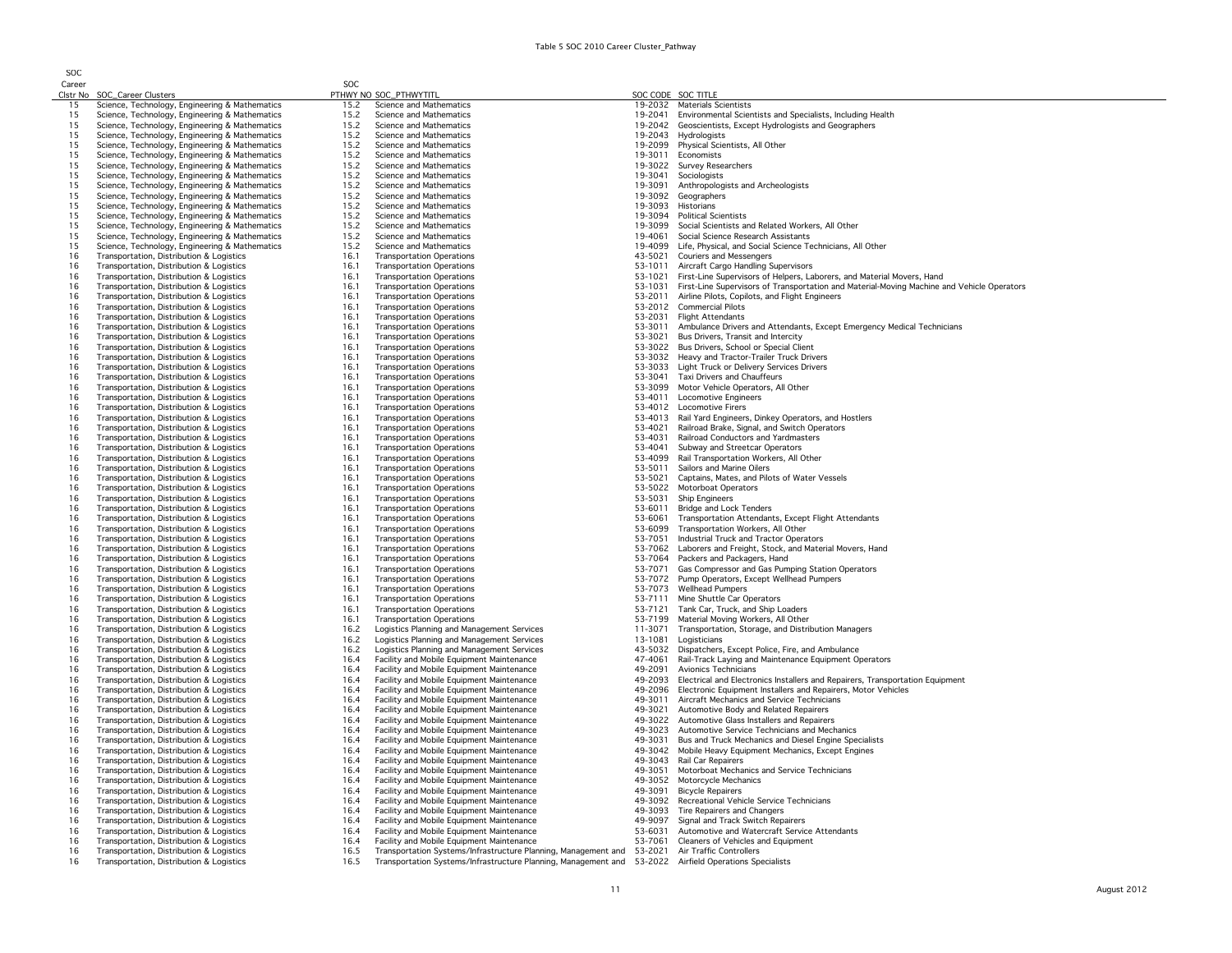| SOC      |                                                                                                  |              |                                                                                        |                    |                                                                                                       |
|----------|--------------------------------------------------------------------------------------------------|--------------|----------------------------------------------------------------------------------------|--------------------|-------------------------------------------------------------------------------------------------------|
| Career   |                                                                                                  | <b>SOC</b>   |                                                                                        |                    |                                                                                                       |
|          | Clstr No SOC_Career Clusters                                                                     |              | PTHWY NO SOC_PTHWYTITL                                                                 | SOC CODE SOC TITLE |                                                                                                       |
| 15       | Science, Technology, Engineering & Mathematics                                                   | 15.2         | Science and Mathematics                                                                |                    | 19-2032 Materials Scientists                                                                          |
| 15       | Science, Technology, Engineering & Mathematics                                                   | 15.2         | Science and Mathematics                                                                |                    | 19-2041 Environmental Scientists and Specialists, Including Health                                    |
| 15       | Science, Technology, Engineering & Mathematics                                                   | 15.2         | Science and Mathematics                                                                | 19-2042            | Geoscientists, Except Hydrologists and Geographers                                                    |
| 15<br>15 | Science, Technology, Engineering & Mathematics                                                   | 15.2         | Science and Mathematics                                                                | 19-2043            | Hydrologists                                                                                          |
|          | Science, Technology, Engineering & Mathematics                                                   | 15.2         | Science and Mathematics                                                                | 19-2099            | Physical Scientists, All Other                                                                        |
| 15<br>15 | Science, Technology, Engineering & Mathematics                                                   | 15.2<br>15.2 | Science and Mathematics<br>Science and Mathematics                                     | 19-3022            | 19-3011 Economists<br><b>Survey Researchers</b>                                                       |
| 15       | Science, Technology, Engineering & Mathematics                                                   | 15.2         | Science and Mathematics                                                                | 19-3041            | Sociologists                                                                                          |
|          | Science, Technology, Engineering & Mathematics                                                   |              |                                                                                        |                    |                                                                                                       |
| 15<br>15 | Science, Technology, Engineering & Mathematics                                                   | 15.2<br>15.2 | Science and Mathematics<br>Science and Mathematics                                     | 19-3091<br>19-3092 | Anthropologists and Archeologists<br>Geographers                                                      |
| 15       | Science, Technology, Engineering & Mathematics<br>Science, Technology, Engineering & Mathematics | 15.2         | Science and Mathematics                                                                | 19-3093            | Historians                                                                                            |
| 15       | Science, Technology, Engineering & Mathematics                                                   | 15.2         | Science and Mathematics                                                                |                    | 19-3094 Political Scientists                                                                          |
| 15       | Science, Technology, Engineering & Mathematics                                                   | 15.2         | Science and Mathematics                                                                | 19-3099            | Social Scientists and Related Workers, All Other                                                      |
| 15       | Science, Technology, Engineering & Mathematics                                                   | 15.2         | Science and Mathematics                                                                | 19-4061            | Social Science Research Assistants                                                                    |
| 15       | Science, Technology, Engineering & Mathematics                                                   | 15.2         | Science and Mathematics                                                                | 19-4099            | Life, Physical, and Social Science Technicians, All Other                                             |
| 16       | Transportation, Distribution & Logistics                                                         | 16.1         | <b>Transportation Operations</b>                                                       | 43-5021            | <b>Couriers and Messengers</b>                                                                        |
| 16       | Transportation, Distribution & Logistics                                                         | 16.1         | <b>Transportation Operations</b>                                                       | 53-1011            | Aircraft Cargo Handling Supervisors                                                                   |
| 16       | Transportation, Distribution & Logistics                                                         | 16.1         | <b>Transportation Operations</b>                                                       | 53-1021            | First-Line Supervisors of Helpers, Laborers, and Material Movers, Hand                                |
| 16       | Transportation, Distribution & Logistics                                                         | 16.1         | <b>Transportation Operations</b>                                                       | 53-1031            | First-Line Supervisors of Transportation and Material-Moving Machine and Vehicle Operators            |
| 16       | Transportation, Distribution & Logistics                                                         | 16.1         | <b>Transportation Operations</b>                                                       | 53-2011            | Airline Pilots, Copilots, and Flight Engineers                                                        |
| 16       | Transportation, Distribution & Logistics                                                         | 16.1         | <b>Transportation Operations</b>                                                       |                    | 53-2012 Commercial Pilots                                                                             |
| 16       | Transportation, Distribution & Logistics                                                         | 16.1         | <b>Transportation Operations</b>                                                       | 53-2031            | <b>Flight Attendants</b>                                                                              |
| 16       | Transportation, Distribution & Logistics                                                         | 16.1         | <b>Transportation Operations</b>                                                       | 53-3011            | Ambulance Drivers and Attendants, Except Emergency Medical Technicians                                |
| 16       | Transportation, Distribution & Logistics                                                         | 16.1         | <b>Transportation Operations</b>                                                       | 53-3021            | Bus Drivers, Transit and Intercity                                                                    |
| 16       | Transportation, Distribution & Logistics                                                         | 16.1         | <b>Transportation Operations</b>                                                       |                    | 53-3022 Bus Drivers, School or Special Client                                                         |
| 16       | Transportation, Distribution & Logistics                                                         | 16.1         | <b>Transportation Operations</b>                                                       |                    | 53-3032 Heavy and Tractor-Trailer Truck Drivers                                                       |
| 16       | Transportation, Distribution & Logistics                                                         | 16.1         | <b>Transportation Operations</b>                                                       |                    | 53-3033 Light Truck or Delivery Services Drivers                                                      |
| 16       | Transportation, Distribution & Logistics                                                         | 16.1         | <b>Transportation Operations</b>                                                       |                    | 53-3041 Taxi Drivers and Chauffeurs                                                                   |
| 16       | Transportation, Distribution & Logistics                                                         | 16.1         | <b>Transportation Operations</b>                                                       |                    | 53-3099 Motor Vehicle Operators, All Other                                                            |
| 16       | Transportation, Distribution & Logistics                                                         | 16.1         | <b>Transportation Operations</b>                                                       |                    | 53-4011 Locomotive Engineers                                                                          |
| 16       | Transportation, Distribution & Logistics                                                         | 16.1         | <b>Transportation Operations</b>                                                       |                    | 53-4012 Locomotive Firers                                                                             |
| 16       | Transportation, Distribution & Logistics                                                         | 16.1         | <b>Transportation Operations</b>                                                       | 53-4013            | Rail Yard Engineers, Dinkey Operators, and Hostlers                                                   |
| 16       | Transportation, Distribution & Logistics                                                         | 16.1         | <b>Transportation Operations</b>                                                       | 53-4021            | Railroad Brake, Signal, and Switch Operators                                                          |
| 16       | Transportation, Distribution & Logistics                                                         | 16.1         | <b>Transportation Operations</b>                                                       | 53-4031            | Railroad Conductors and Yardmasters                                                                   |
| 16       | Transportation, Distribution & Logistics                                                         | 16.1         | <b>Transportation Operations</b>                                                       | 53-4041            | Subway and Streetcar Operators                                                                        |
| 16       | Transportation, Distribution & Logistics                                                         | 16.1         | <b>Transportation Operations</b>                                                       | 53-4099            | Rail Transportation Workers, All Other                                                                |
| 16       | Transportation, Distribution & Logistics                                                         | 16.1         | <b>Transportation Operations</b>                                                       | 53-5011            | Sailors and Marine Oilers                                                                             |
| 16       | Transportation, Distribution & Logistics                                                         | 16.1         | <b>Transportation Operations</b>                                                       | 53-5021            | Captains, Mates, and Pilots of Water Vessels                                                          |
| 16       | Transportation, Distribution & Logistics                                                         | 16.1         | <b>Transportation Operations</b>                                                       | 53-5022            | Motorboat Operators                                                                                   |
| 16       | Transportation, Distribution & Logistics                                                         | 16.1         | <b>Transportation Operations</b>                                                       | 53-5031            | <b>Ship Engineers</b>                                                                                 |
| 16       | Transportation, Distribution & Logistics                                                         | 16.1         | <b>Transportation Operations</b>                                                       | 53-6011            | <b>Bridge and Lock Tenders</b>                                                                        |
| 16       | Transportation, Distribution & Logistics                                                         | 16.1         | <b>Transportation Operations</b>                                                       | 53-6061            | Transportation Attendants, Except Flight Attendants                                                   |
| 16       | Transportation, Distribution & Logistics                                                         | 16.1         | <b>Transportation Operations</b>                                                       | 53-6099            | Transportation Workers, All Other                                                                     |
| 16       | Transportation, Distribution & Logistics                                                         | 16.1         | <b>Transportation Operations</b>                                                       | 53-7051            | Industrial Truck and Tractor Operators                                                                |
| 16       | Transportation, Distribution & Logistics                                                         | 16.1         | <b>Transportation Operations</b>                                                       |                    | 53-7062 Laborers and Freight, Stock, and Material Movers, Hand                                        |
| 16       | Transportation, Distribution & Logistics                                                         | 16.1         | <b>Transportation Operations</b>                                                       |                    | 53-7064 Packers and Packagers, Hand                                                                   |
| 16       | Transportation, Distribution & Logistics                                                         | 16.1         | <b>Transportation Operations</b>                                                       |                    | 53-7071 Gas Compressor and Gas Pumping Station Operators                                              |
| 16       | Transportation, Distribution & Logistics                                                         | 16.1         | <b>Transportation Operations</b>                                                       |                    | 53-7072 Pump Operators, Except Wellhead Pumpers                                                       |
| 16       | Transportation, Distribution & Logistics                                                         | 16.1         | <b>Transportation Operations</b>                                                       |                    | 53-7073 Wellhead Pumpers                                                                              |
| 16       | Transportation, Distribution & Logistics                                                         | 16.1         | <b>Transportation Operations</b>                                                       | 53-7111            | Mine Shuttle Car Operators                                                                            |
| 16       | Transportation, Distribution & Logistics                                                         | 16.1         | <b>Transportation Operations</b>                                                       | 53-7121            | Tank Car, Truck, and Ship Loaders                                                                     |
| 16       | Transportation, Distribution & Logistics                                                         | 16.1         | <b>Transportation Operations</b>                                                       | 53-7199            | Material Moving Workers, All Other                                                                    |
| 16       | Transportation, Distribution & Logistics                                                         | 16.2         | Logistics Planning and Management Services                                             | 11-3071            | Transportation, Storage, and Distribution Managers                                                    |
| 16       | Transportation, Distribution & Logistics                                                         | 16.2         | Logistics Planning and Management Services                                             | 13-1081            | Logisticians                                                                                          |
| 16       | Transportation, Distribution & Logistics                                                         | 16.2         | Logistics Planning and Management Services                                             | 43-5032            | Dispatchers, Except Police, Fire, and Ambulance                                                       |
| 16       | Transportation, Distribution & Logistics                                                         | 16.4         | Facility and Mobile Equipment Maintenance                                              | 47-4061            | Rail-Track Laying and Maintenance Equipment Operators                                                 |
| 16<br>16 | Transportation, Distribution & Logistics                                                         | 16.4<br>16.4 | Facility and Mobile Equipment Maintenance<br>Facility and Mobile Equipment Maintenance | 49-2091<br>49-2093 | Avionics Technicians<br>Electrical and Electronics Installers and Repairers, Transportation Equipment |
| 16       | Transportation, Distribution & Logistics                                                         | 16.4         | Facility and Mobile Equipment Maintenance                                              |                    | 49-2096 Electronic Equipment Installers and Repairers, Motor Vehicles                                 |
| 16       | Transportation, Distribution & Logistics<br>Transportation, Distribution & Logistics             | 16.4         | Facility and Mobile Equipment Maintenance                                              | 49-3011            | Aircraft Mechanics and Service Technicians                                                            |
| 16       |                                                                                                  | 16.4         |                                                                                        | 49-3021            |                                                                                                       |
| 16       | Transportation, Distribution & Logistics<br>Transportation, Distribution & Logistics             | 16.4         | Facility and Mobile Equipment Maintenance<br>Facility and Mobile Equipment Maintenance |                    | Automotive Body and Related Repairers<br>49-3022 Automotive Glass Installers and Repairers            |
| 16       | Transportation, Distribution & Logistics                                                         | 16.4         | Facility and Mobile Equipment Maintenance                                              | 49-3023            | Automotive Service Technicians and Mechanics                                                          |
| 16       | Transportation, Distribution & Logistics                                                         | 16.4         | Facility and Mobile Equipment Maintenance                                              | 49-3031            | Bus and Truck Mechanics and Diesel Engine Specialists                                                 |
| 16       | Transportation, Distribution & Logistics                                                         | 16.4         | Facility and Mobile Equipment Maintenance                                              |                    | 49-3042 Mobile Heavy Equipment Mechanics, Except Engines                                              |
| 16       | Transportation, Distribution & Logistics                                                         | 16.4         | Facility and Mobile Equipment Maintenance                                              |                    | 49-3043 Rail Car Repairers                                                                            |
| 16       | Transportation, Distribution & Logistics                                                         | 16.4         | Facility and Mobile Equipment Maintenance                                              |                    | 49-3051 Motorboat Mechanics and Service Technicians                                                   |
| 16       | Transportation, Distribution & Logistics                                                         | 16.4         | Facility and Mobile Equipment Maintenance                                              | 49-3052            | Motorcycle Mechanics                                                                                  |
| 16       | Transportation, Distribution & Logistics                                                         | 16.4         | Facility and Mobile Equipment Maintenance                                              | 49-3091            | <b>Bicycle Repairers</b>                                                                              |
| 16       | Transportation, Distribution & Logistics                                                         | 16.4         | Facility and Mobile Equipment Maintenance                                              | 49-3092            | Recreational Vehicle Service Technicians                                                              |
| 16       | Transportation, Distribution & Logistics                                                         | 16.4         | Facility and Mobile Equipment Maintenance                                              | 49-3093            | Tire Repairers and Changers                                                                           |
| 16       | Transportation, Distribution & Logistics                                                         | 16.4         | Facility and Mobile Equipment Maintenance                                              | 49-9097            | Signal and Track Switch Repairers                                                                     |
| 16       | Transportation, Distribution & Logistics                                                         | 16.4         | Facility and Mobile Equipment Maintenance                                              | 53-6031            | Automotive and Watercraft Service Attendants                                                          |
| 16       | Transportation, Distribution & Logistics                                                         | 16.4         | Facility and Mobile Equipment Maintenance                                              | 53-7061            | Cleaners of Vehicles and Equipment                                                                    |
| 16       | Transportation, Distribution & Logistics                                                         | 16.5         | Transportation Systems/Infrastructure Planning, Management and                         | 53-2021            | Air Traffic Controllers                                                                               |
| 16       | Transportation, Distribution & Logistics                                                         | 16.5         | Transportation Systems/Infrastructure Planning, Management and                         | 53-2022            | Airfield Operations Specialists                                                                       |